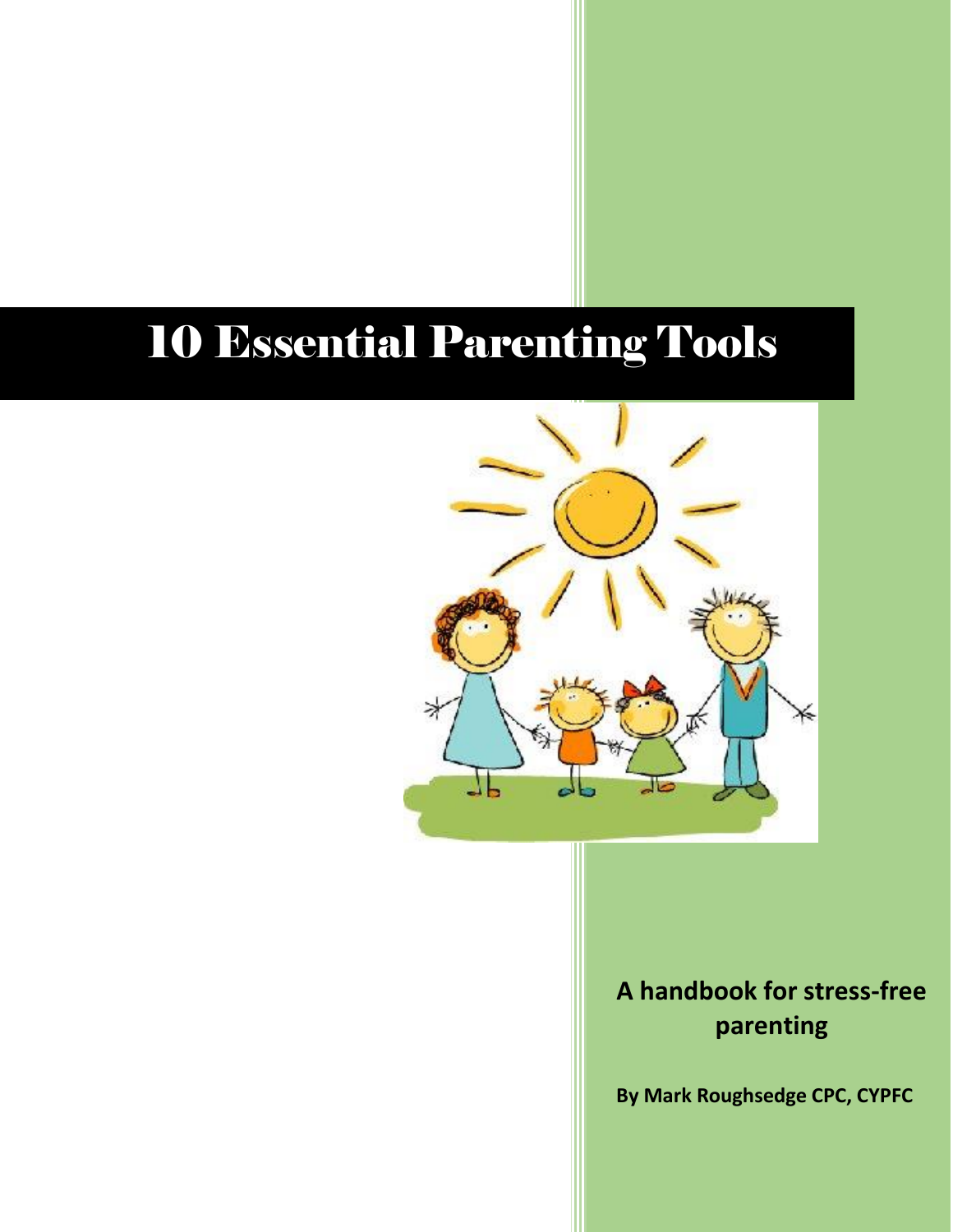# 10 Essential Parenting Tools



### **A handbook for stress-free parenting**

**By Mark Roughsedge CPC, CYPFC**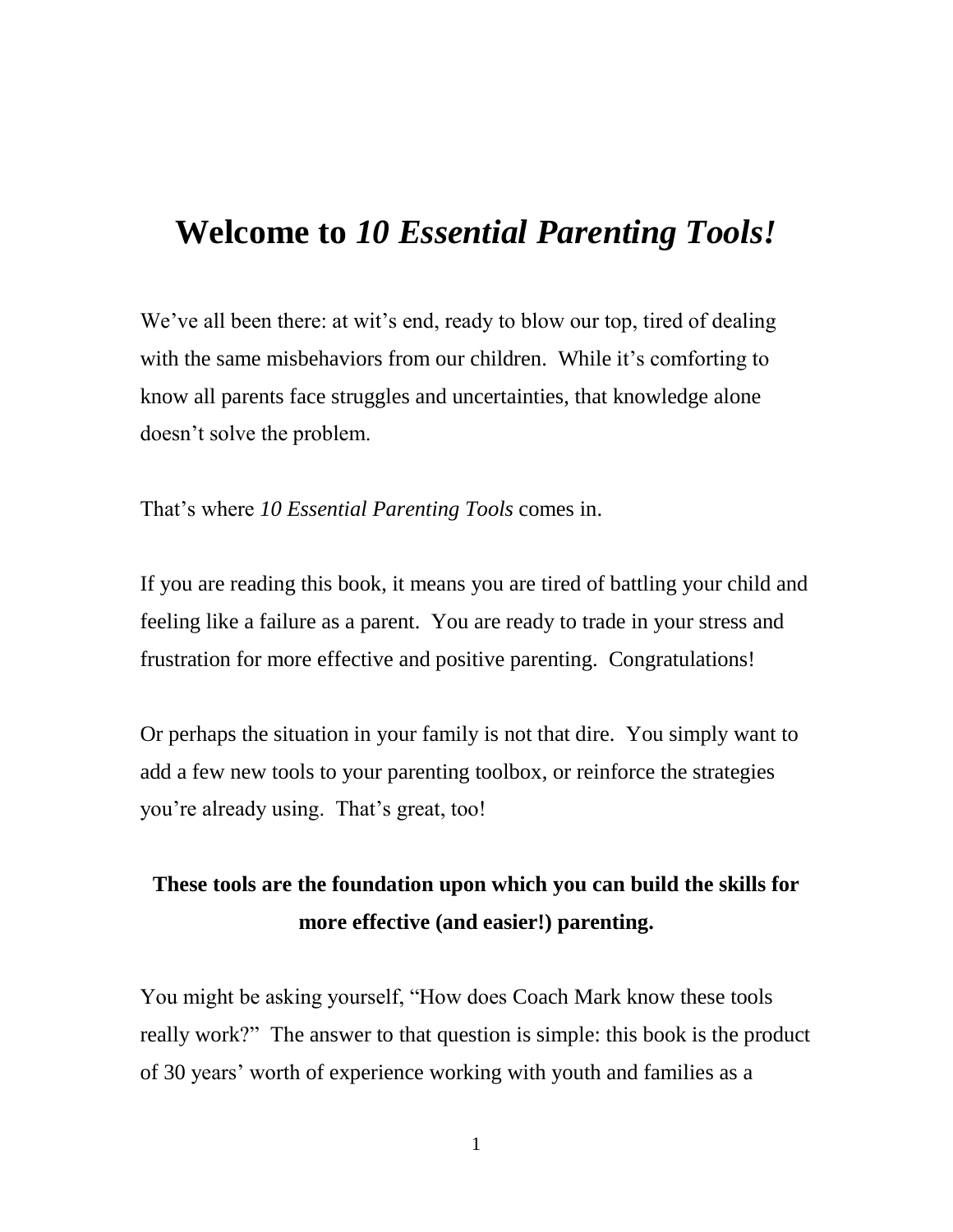### **Welcome to** *10 Essential Parenting Tools!*

We've all been there: at wit's end, ready to blow our top, tired of dealing with the same misbehaviors from our children. While it's comforting to know all parents face struggles and uncertainties, that knowledge alone doesn't solve the problem.

That's where *10 Essential Parenting Tools* comes in.

If you are reading this book, it means you are tired of battling your child and feeling like a failure as a parent. You are ready to trade in your stress and frustration for more effective and positive parenting. Congratulations!

Or perhaps the situation in your family is not that dire. You simply want to add a few new tools to your parenting toolbox, or reinforce the strategies you're already using. That's great, too!

#### **These tools are the foundation upon which you can build the skills for more effective (and easier!) parenting.**

You might be asking yourself, "How does Coach Mark know these tools really work?" The answer to that question is simple: this book is the product of 30 years' worth of experience working with youth and families as a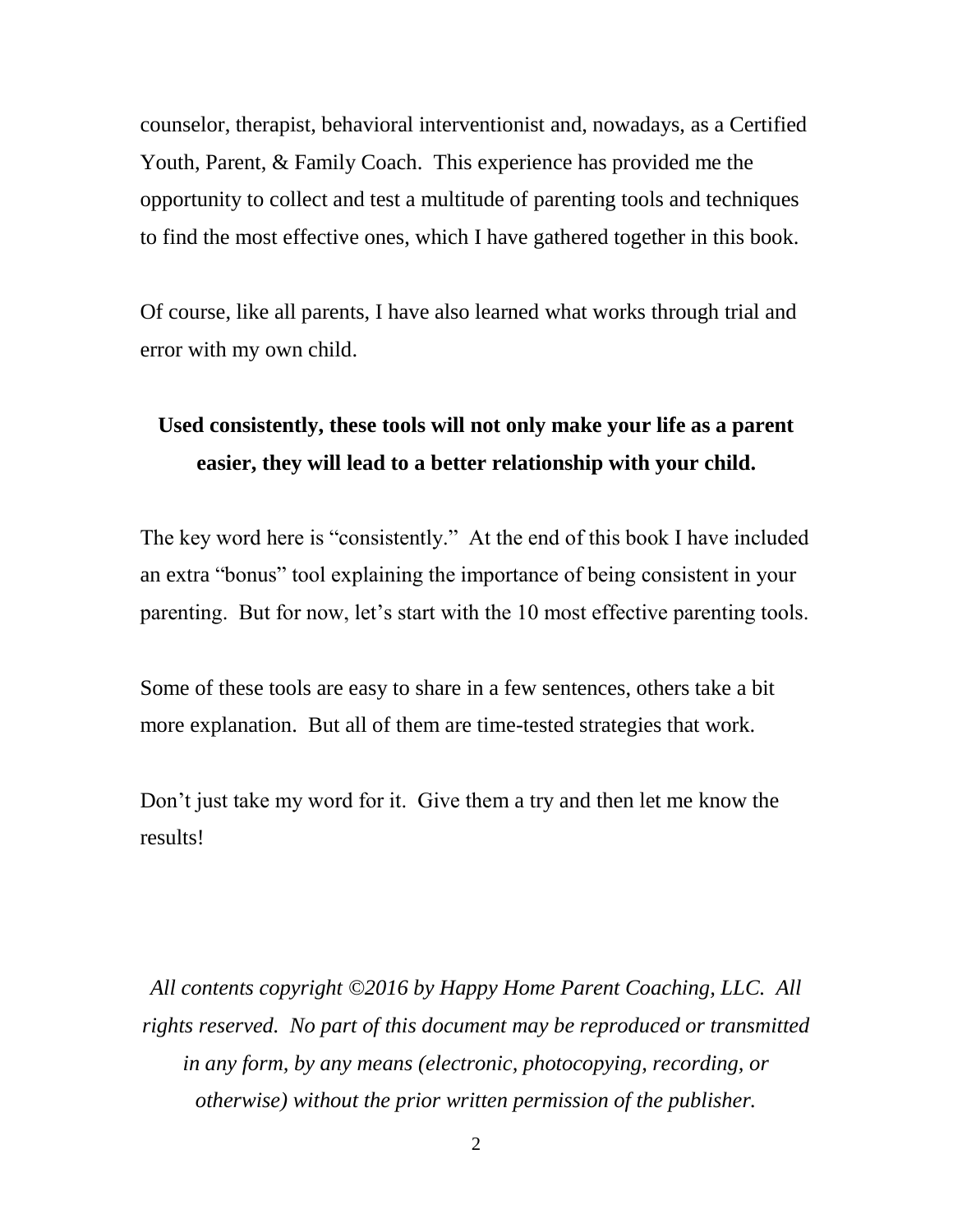counselor, therapist, behavioral interventionist and, nowadays, as a Certified Youth, Parent, & Family Coach. This experience has provided me the opportunity to collect and test a multitude of parenting tools and techniques to find the most effective ones, which I have gathered together in this book.

Of course, like all parents, I have also learned what works through trial and error with my own child.

#### **Used consistently, these tools will not only make your life as a parent easier, they will lead to a better relationship with your child.**

The key word here is "consistently." At the end of this book I have included an extra "bonus" tool explaining the importance of being consistent in your parenting. But for now, let's start with the 10 most effective parenting tools.

Some of these tools are easy to share in a few sentences, others take a bit more explanation. But all of them are time-tested strategies that work.

Don't just take my word for it. Give them a try and then let me know the results!

*All contents copyright ©2016 by Happy Home Parent Coaching, LLC. All rights reserved. No part of this document may be reproduced or transmitted in any form, by any means (electronic, photocopying, recording, or otherwise) without the prior written permission of the publisher.*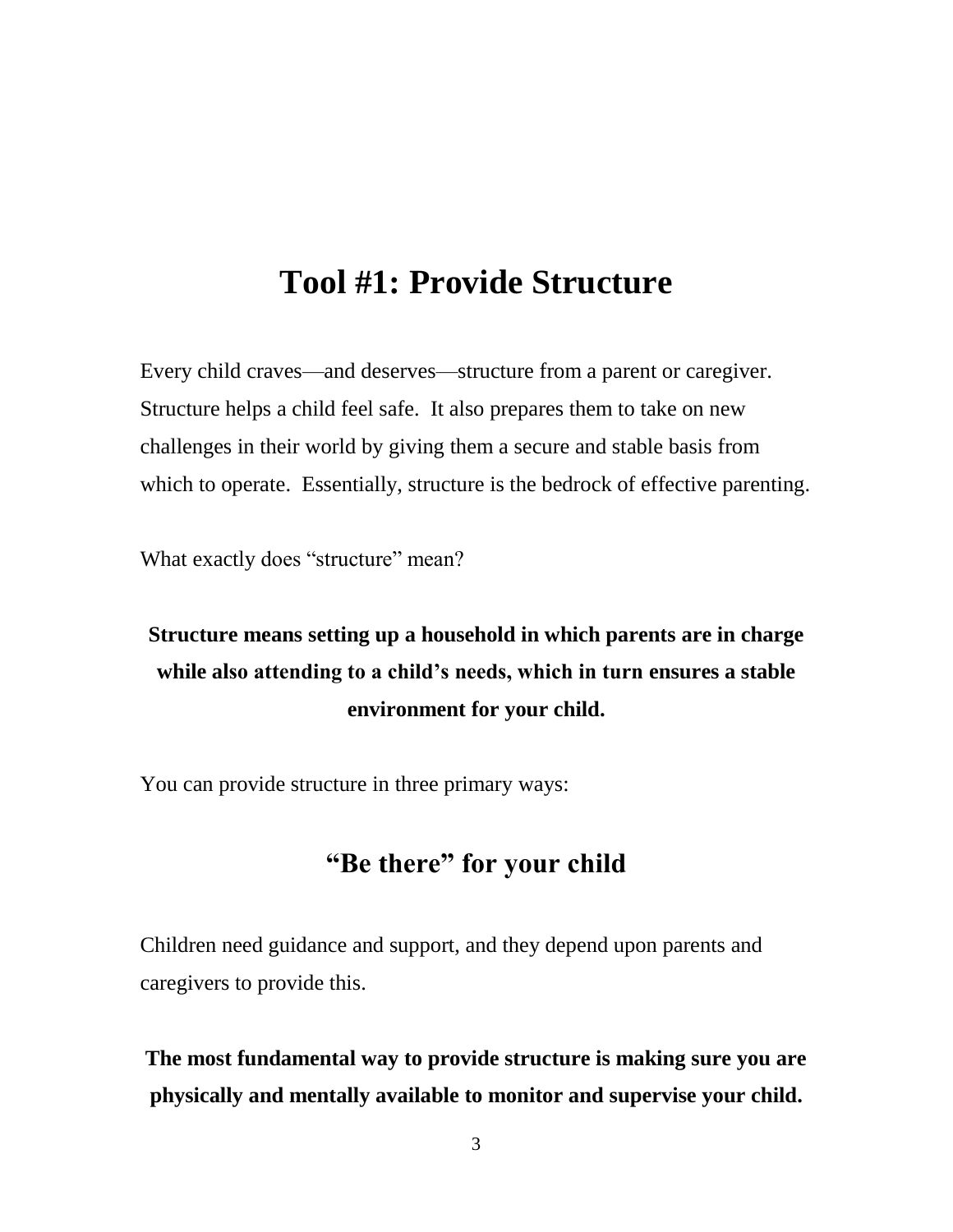### **Tool #1: Provide Structure**

Every child craves—and deserves—structure from a parent or caregiver. Structure helps a child feel safe. It also prepares them to take on new challenges in their world by giving them a secure and stable basis from which to operate. Essentially, structure is the bedrock of effective parenting.

What exactly does "structure" mean?

### **Structure means setting up a household in which parents are in charge while also attending to a child's needs, which in turn ensures a stable environment for your child.**

You can provide structure in three primary ways:

#### **"Be there" for your child**

Children need guidance and support, and they depend upon parents and caregivers to provide this.

**The most fundamental way to provide structure is making sure you are physically and mentally available to monitor and supervise your child.**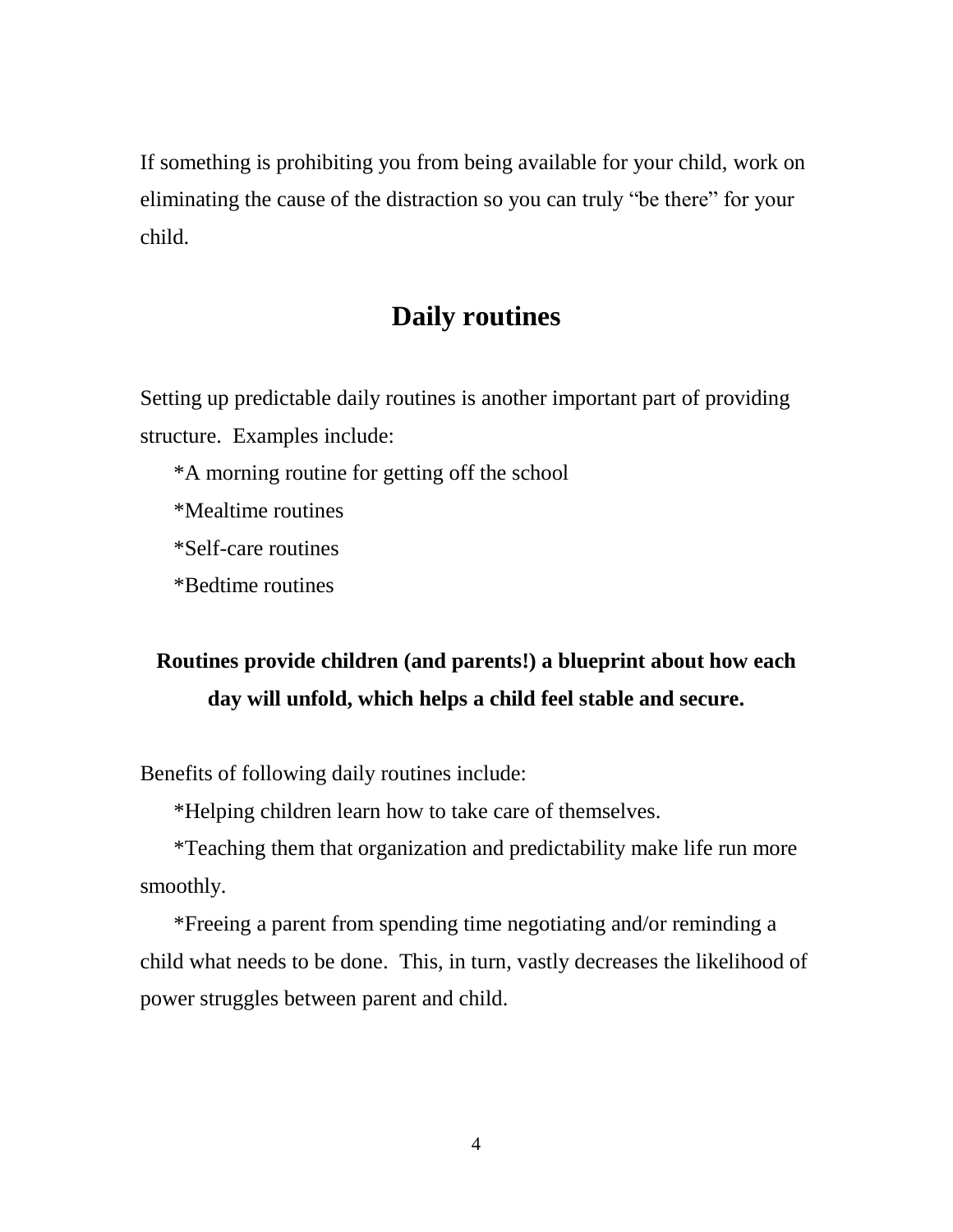If something is prohibiting you from being available for your child, work on eliminating the cause of the distraction so you can truly "be there" for your child.

#### **Daily routines**

Setting up predictable daily routines is another important part of providing structure. Examples include:

\*A morning routine for getting off the school

\*Mealtime routines

\*Self-care routines

\*Bedtime routines

### **Routines provide children (and parents!) a blueprint about how each day will unfold, which helps a child feel stable and secure.**

Benefits of following daily routines include:

\*Helping children learn how to take care of themselves.

\*Teaching them that organization and predictability make life run more smoothly.

\*Freeing a parent from spending time negotiating and/or reminding a child what needs to be done. This, in turn, vastly decreases the likelihood of power struggles between parent and child.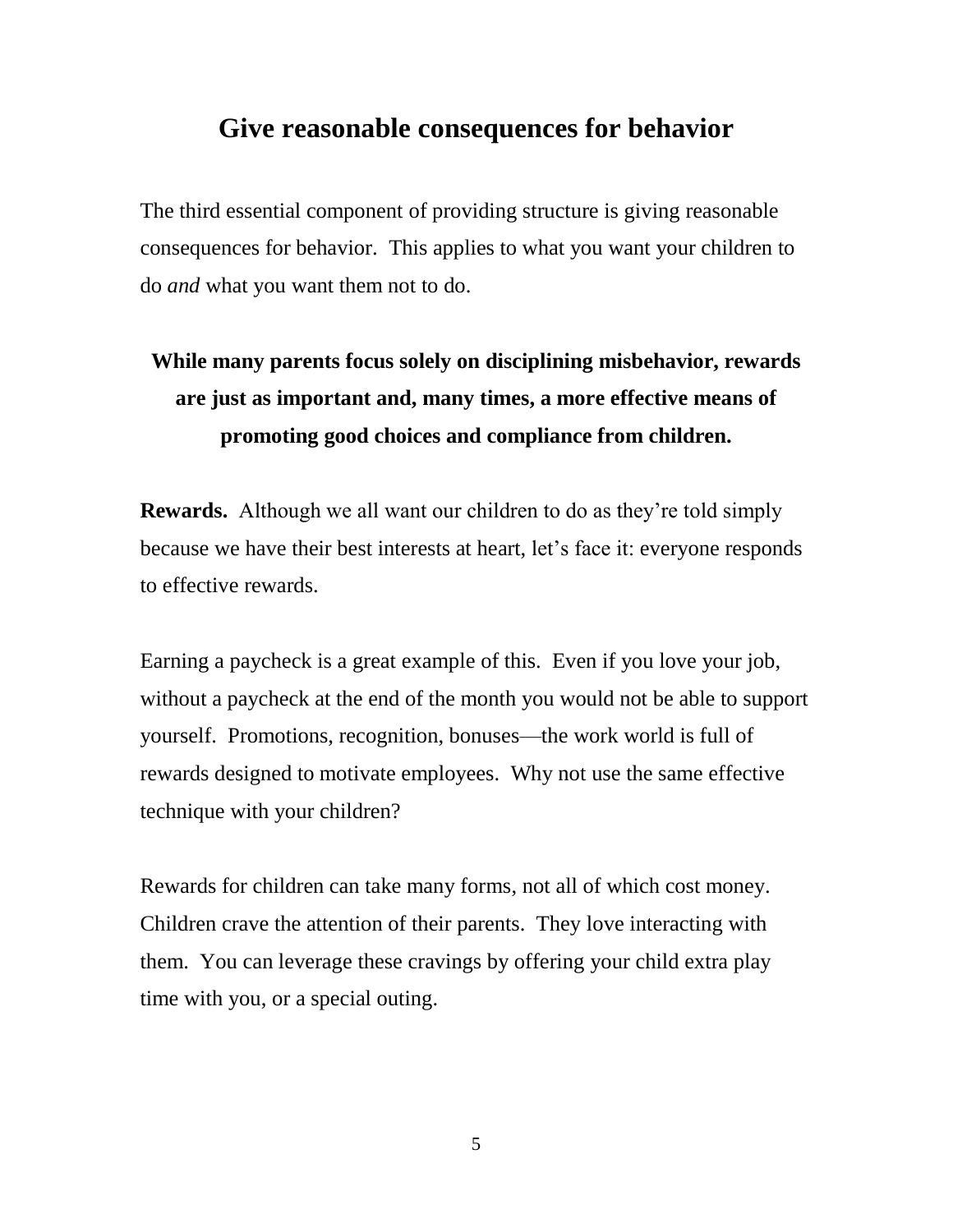#### **Give reasonable consequences for behavior**

The third essential component of providing structure is giving reasonable consequences for behavior. This applies to what you want your children to do *and* what you want them not to do.

### **While many parents focus solely on disciplining misbehavior, rewards are just as important and, many times, a more effective means of promoting good choices and compliance from children.**

**Rewards.** Although we all want our children to do as they're told simply because we have their best interests at heart, let's face it: everyone responds to effective rewards.

Earning a paycheck is a great example of this. Even if you love your job, without a paycheck at the end of the month you would not be able to support yourself. Promotions, recognition, bonuses—the work world is full of rewards designed to motivate employees. Why not use the same effective technique with your children?

Rewards for children can take many forms, not all of which cost money. Children crave the attention of their parents. They love interacting with them. You can leverage these cravings by offering your child extra play time with you, or a special outing.

5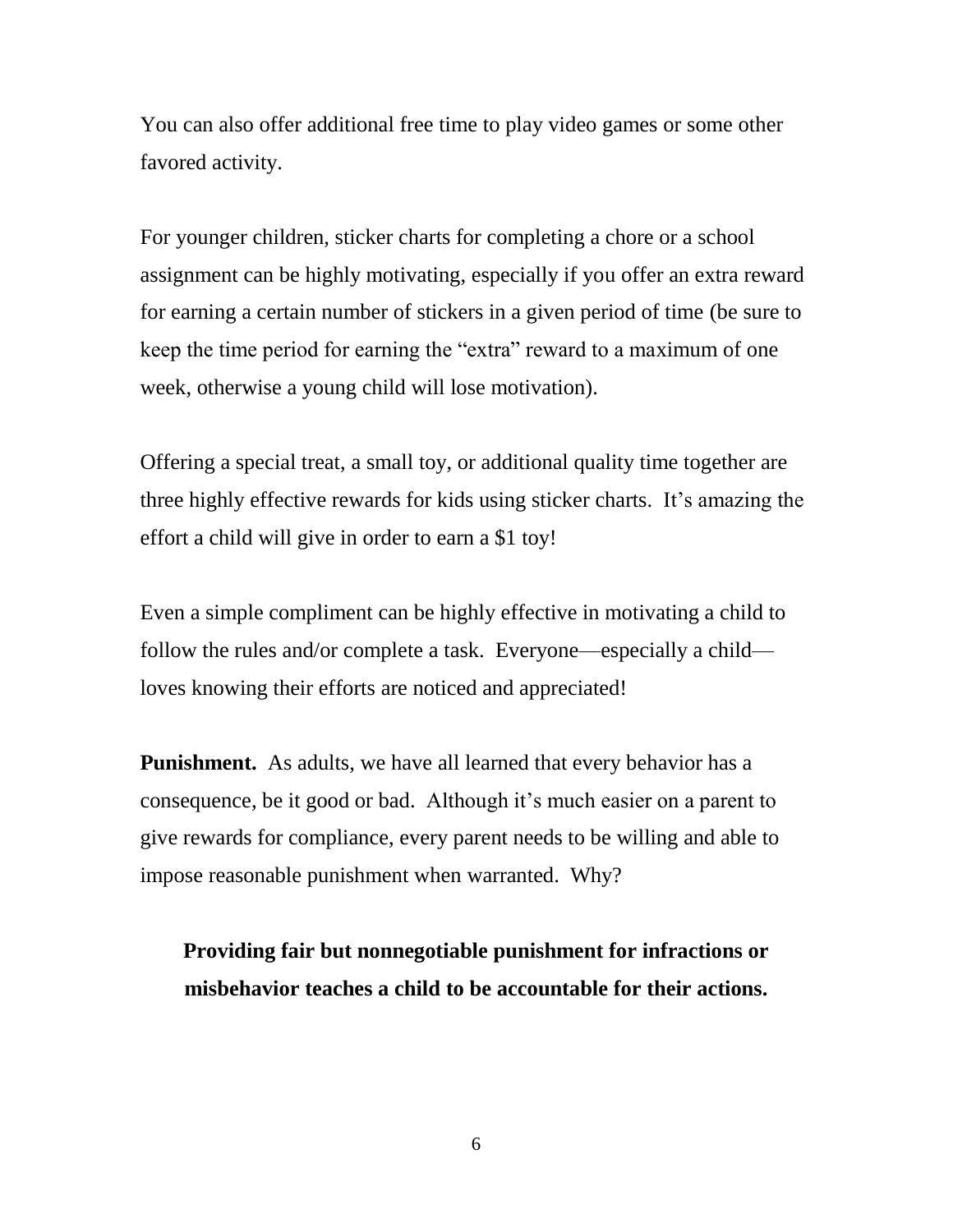You can also offer additional free time to play video games or some other favored activity.

For younger children, sticker charts for completing a chore or a school assignment can be highly motivating, especially if you offer an extra reward for earning a certain number of stickers in a given period of time (be sure to keep the time period for earning the "extra" reward to a maximum of one week, otherwise a young child will lose motivation).

Offering a special treat, a small toy, or additional quality time together are three highly effective rewards for kids using sticker charts. It's amazing the effort a child will give in order to earn a \$1 toy!

Even a simple compliment can be highly effective in motivating a child to follow the rules and/or complete a task. Everyone—especially a child loves knowing their efforts are noticed and appreciated!

**Punishment.** As adults, we have all learned that every behavior has a consequence, be it good or bad. Although it's much easier on a parent to give rewards for compliance, every parent needs to be willing and able to impose reasonable punishment when warranted. Why?

**Providing fair but nonnegotiable punishment for infractions or misbehavior teaches a child to be accountable for their actions.**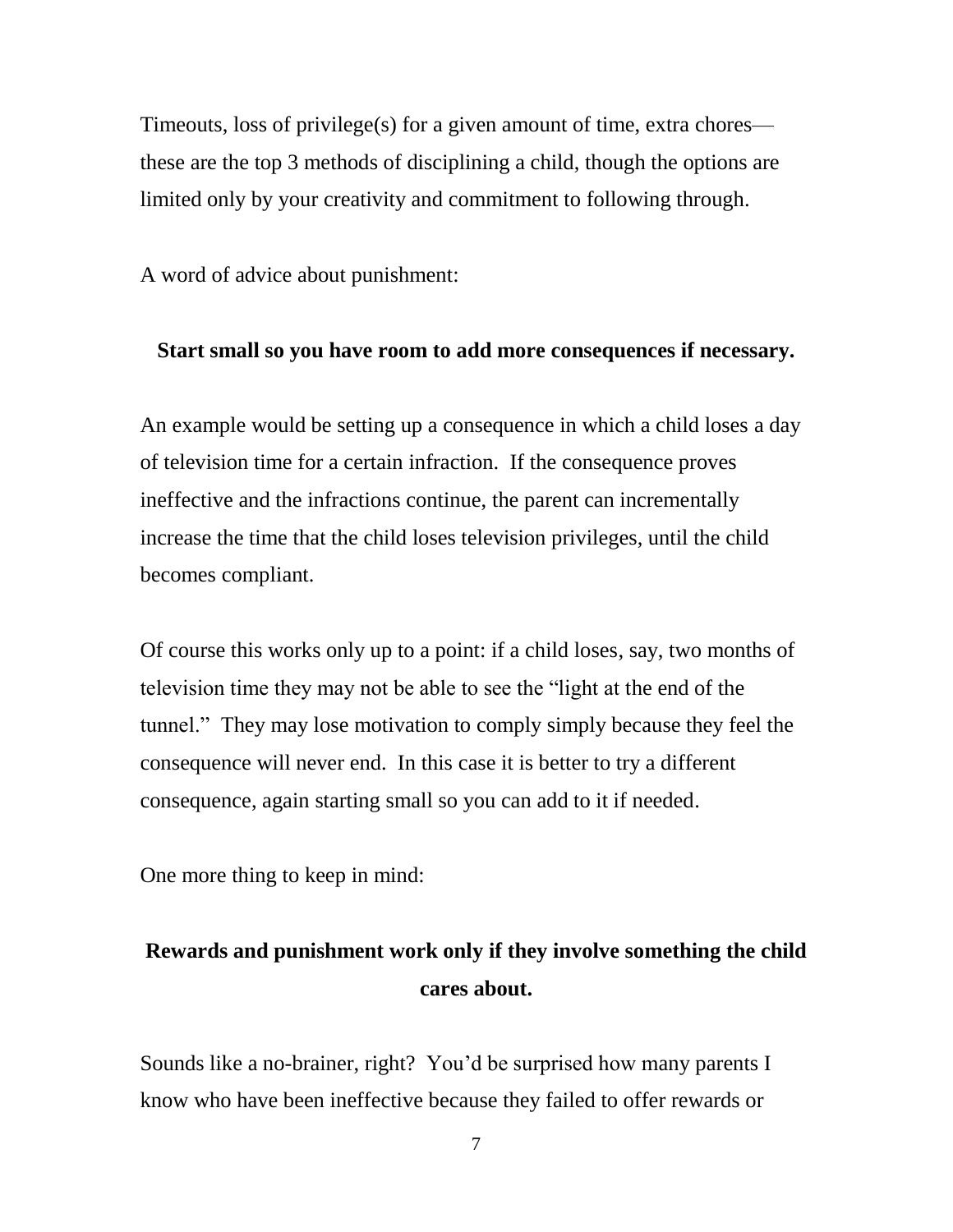Timeouts, loss of privilege(s) for a given amount of time, extra chores these are the top 3 methods of disciplining a child, though the options are limited only by your creativity and commitment to following through.

A word of advice about punishment:

#### **Start small so you have room to add more consequences if necessary.**

An example would be setting up a consequence in which a child loses a day of television time for a certain infraction. If the consequence proves ineffective and the infractions continue, the parent can incrementally increase the time that the child loses television privileges, until the child becomes compliant.

Of course this works only up to a point: if a child loses, say, two months of television time they may not be able to see the "light at the end of the tunnel." They may lose motivation to comply simply because they feel the consequence will never end. In this case it is better to try a different consequence, again starting small so you can add to it if needed.

One more thing to keep in mind:

#### **Rewards and punishment work only if they involve something the child cares about.**

Sounds like a no-brainer, right? You'd be surprised how many parents I know who have been ineffective because they failed to offer rewards or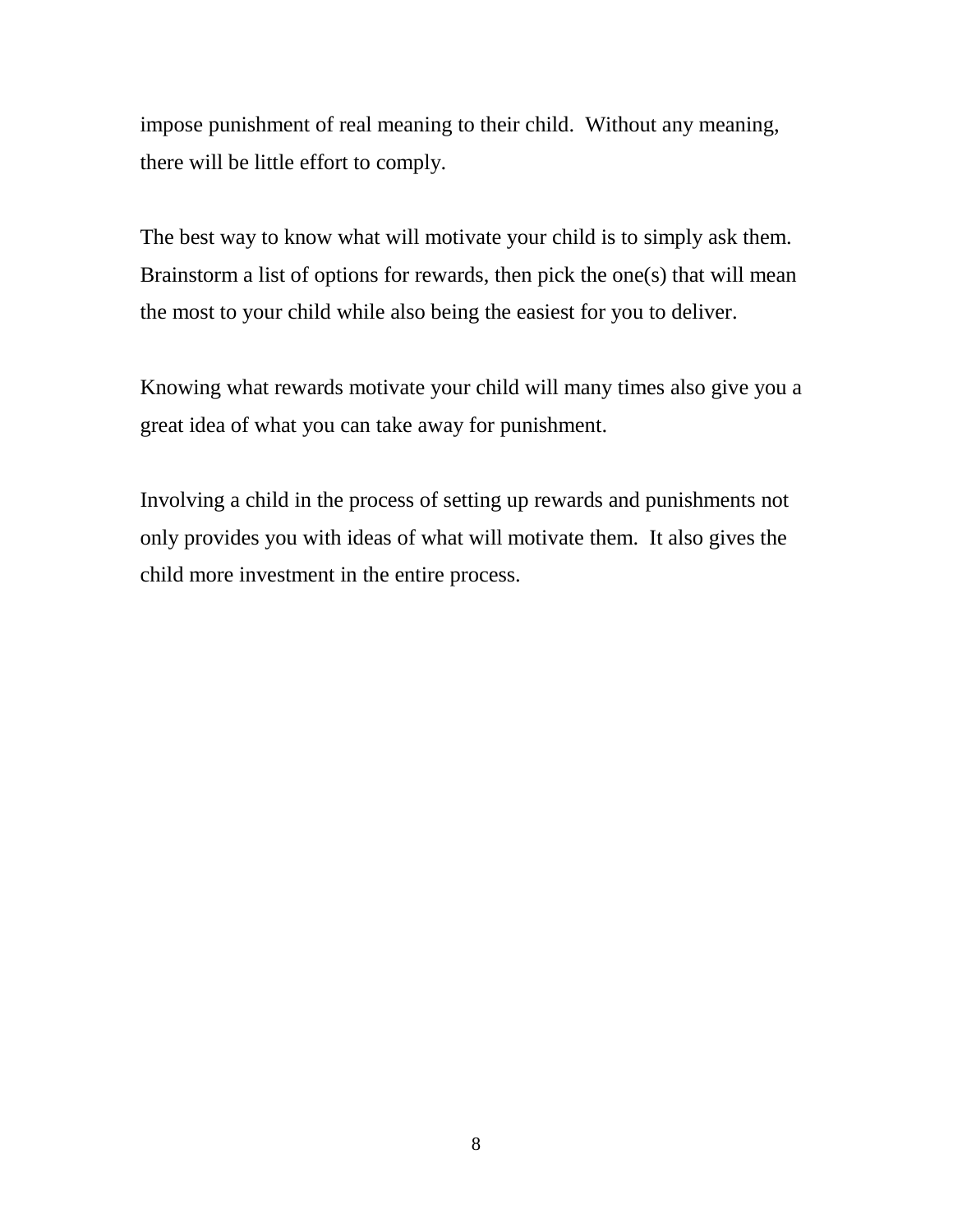impose punishment of real meaning to their child. Without any meaning, there will be little effort to comply.

The best way to know what will motivate your child is to simply ask them. Brainstorm a list of options for rewards, then pick the one(s) that will mean the most to your child while also being the easiest for you to deliver.

Knowing what rewards motivate your child will many times also give you a great idea of what you can take away for punishment.

Involving a child in the process of setting up rewards and punishments not only provides you with ideas of what will motivate them. It also gives the child more investment in the entire process.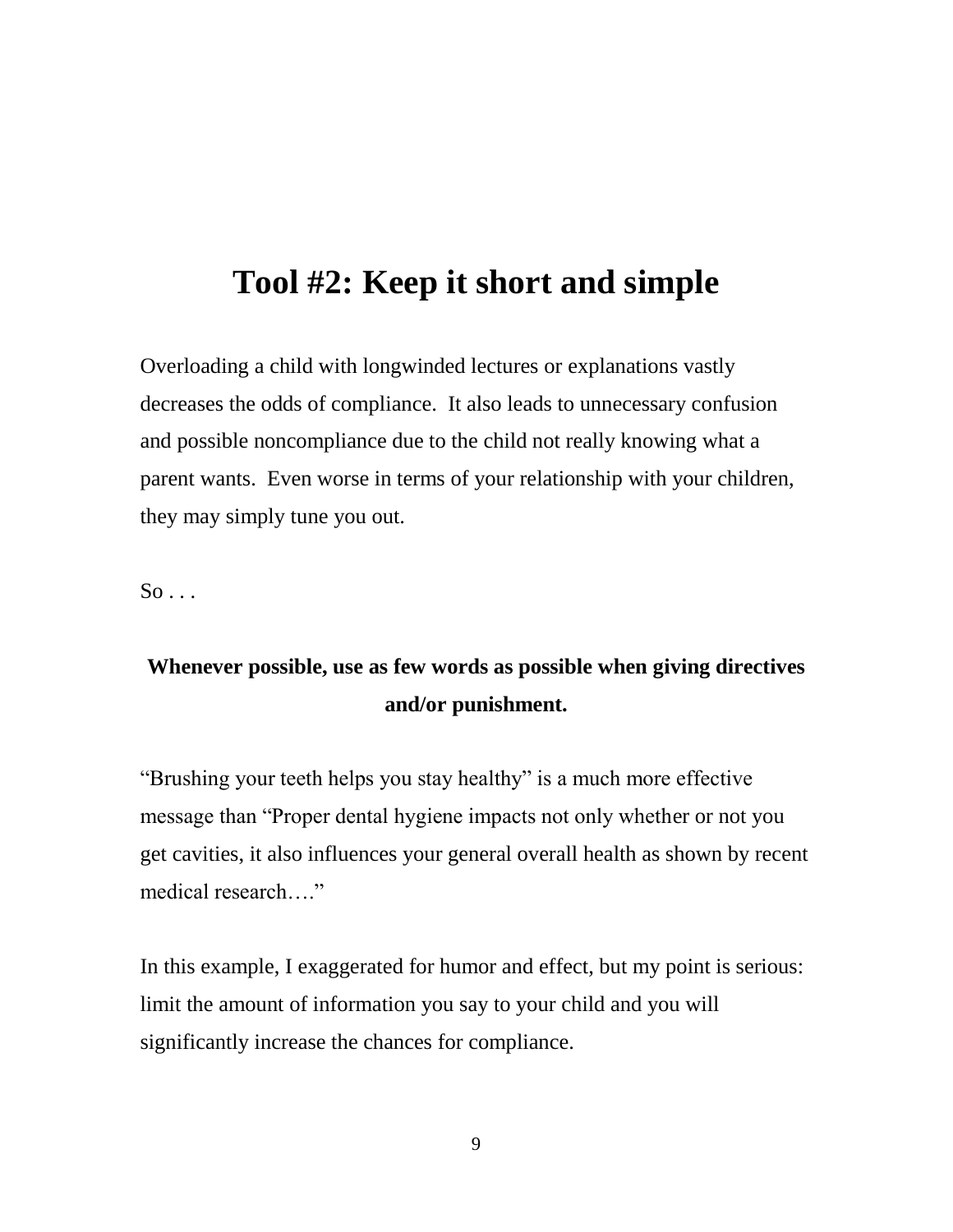### **Tool #2: Keep it short and simple**

Overloading a child with longwinded lectures or explanations vastly decreases the odds of compliance. It also leads to unnecessary confusion and possible noncompliance due to the child not really knowing what a parent wants. Even worse in terms of your relationship with your children, they may simply tune you out.

 $So \ldots$ 

#### **Whenever possible, use as few words as possible when giving directives and/or punishment.**

"Brushing your teeth helps you stay healthy" is a much more effective message than "Proper dental hygiene impacts not only whether or not you get cavities, it also influences your general overall health as shown by recent medical research…."

In this example, I exaggerated for humor and effect, but my point is serious: limit the amount of information you say to your child and you will significantly increase the chances for compliance.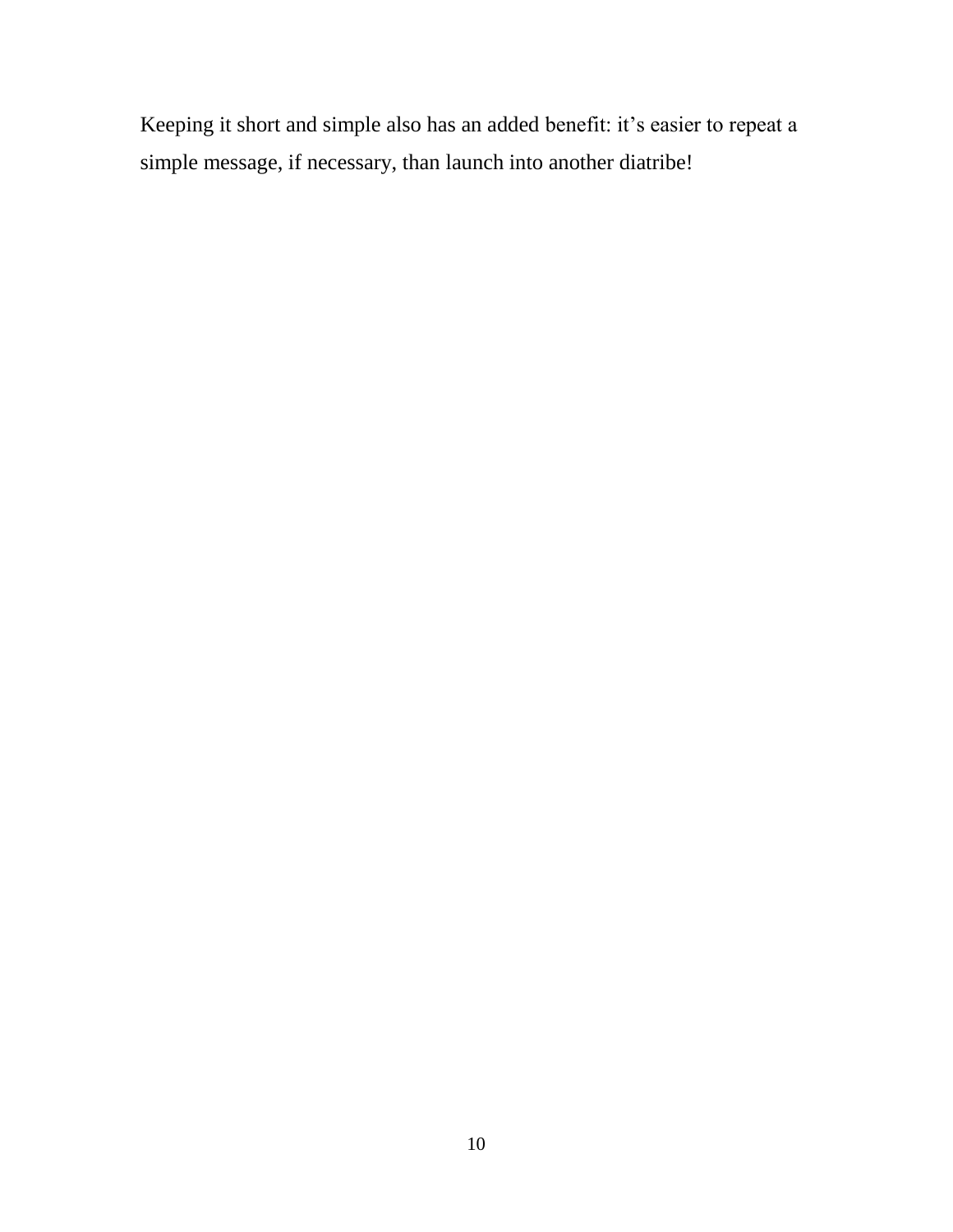Keeping it short and simple also has an added benefit: it's easier to repeat a simple message, if necessary, than launch into another diatribe!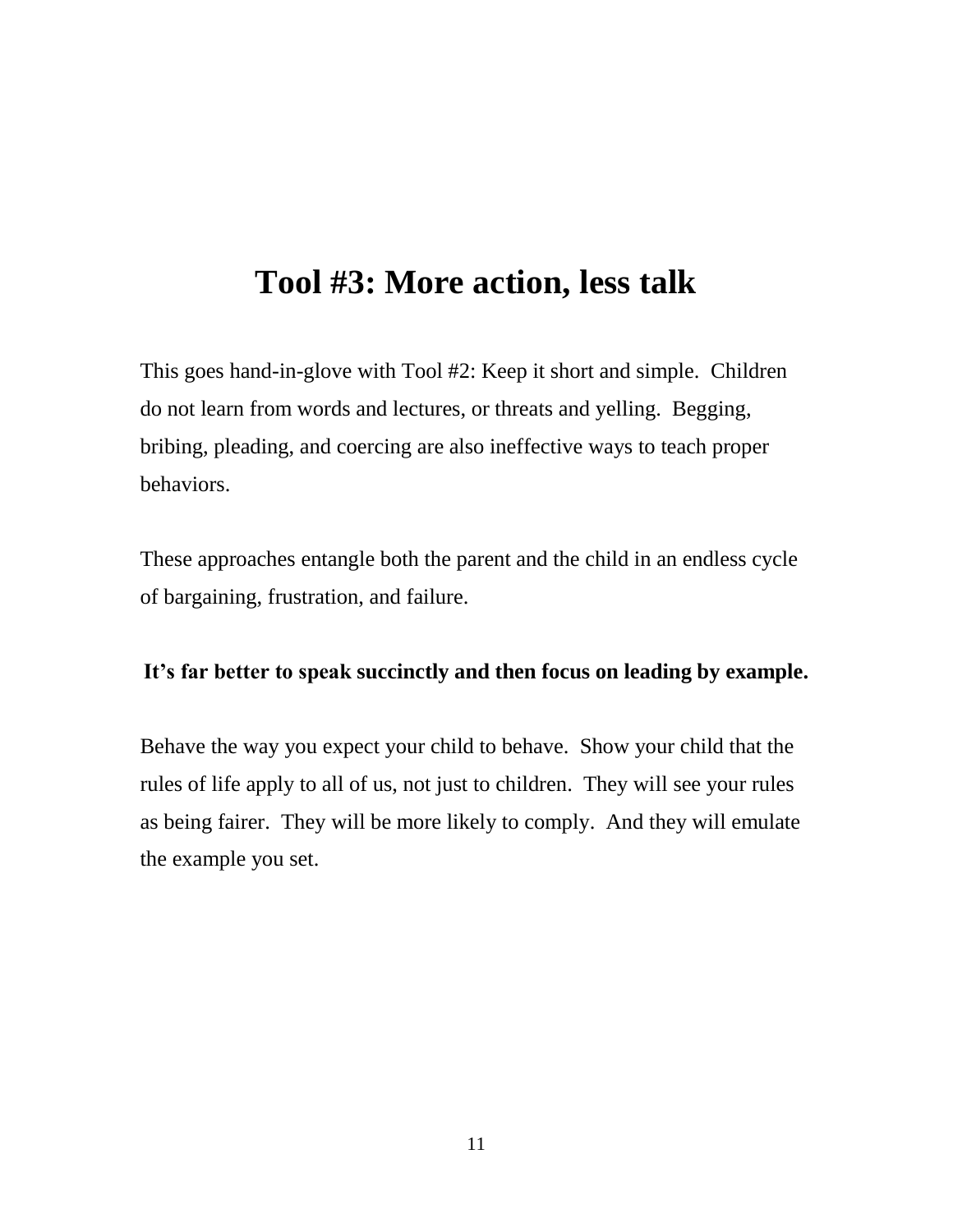### **Tool #3: More action, less talk**

This goes hand-in-glove with Tool #2: Keep it short and simple. Children do not learn from words and lectures, or threats and yelling. Begging, bribing, pleading, and coercing are also ineffective ways to teach proper behaviors.

These approaches entangle both the parent and the child in an endless cycle of bargaining, frustration, and failure.

#### **It's far better to speak succinctly and then focus on leading by example.**

Behave the way you expect your child to behave. Show your child that the rules of life apply to all of us, not just to children. They will see your rules as being fairer. They will be more likely to comply. And they will emulate the example you set.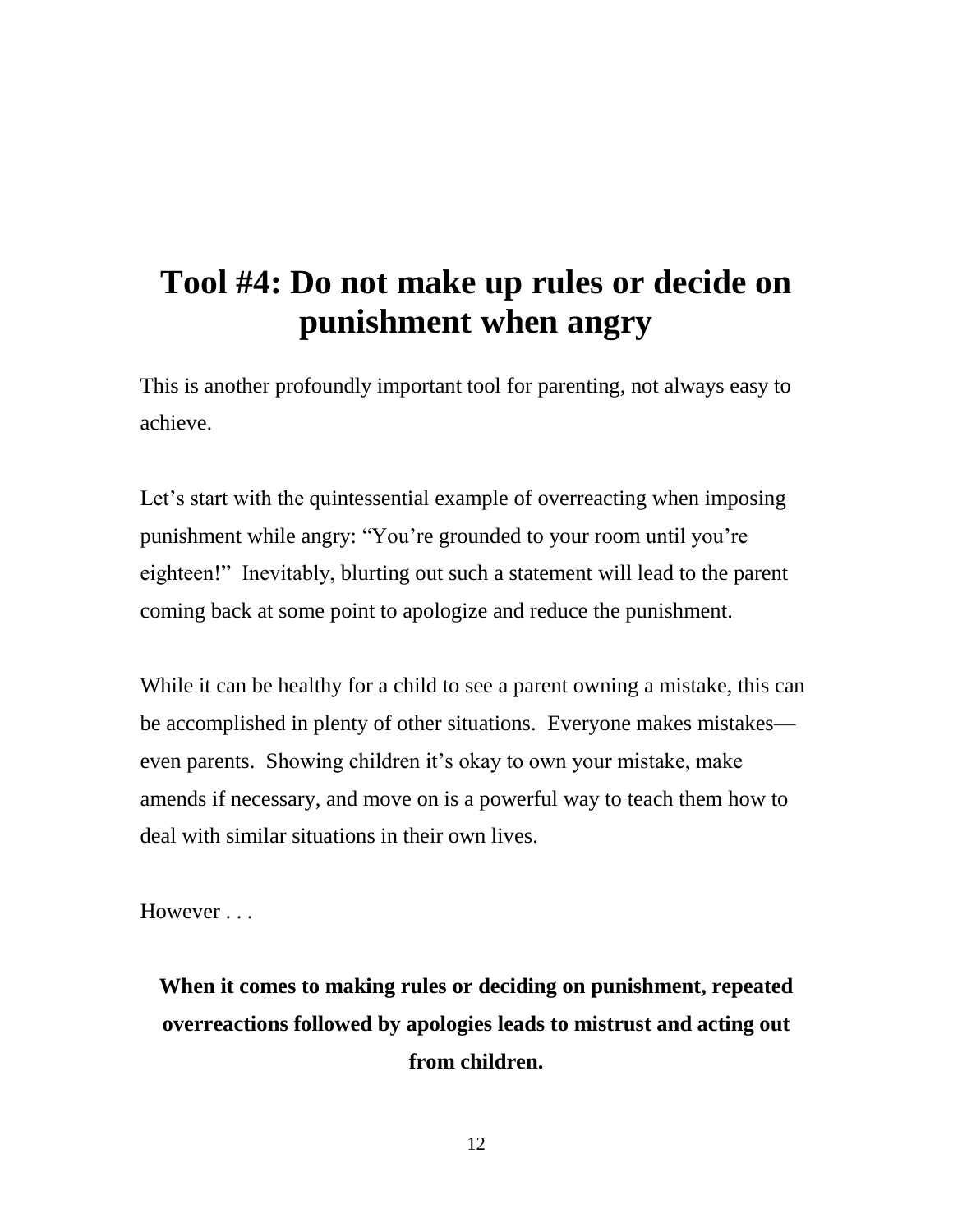# **Tool #4: Do not make up rules or decide on punishment when angry**

This is another profoundly important tool for parenting, not always easy to achieve.

Let's start with the quintessential example of overreacting when imposing punishment while angry: "You're grounded to your room until you're eighteen!" Inevitably, blurting out such a statement will lead to the parent coming back at some point to apologize and reduce the punishment.

While it can be healthy for a child to see a parent owning a mistake, this can be accomplished in plenty of other situations. Everyone makes mistakes even parents. Showing children it's okay to own your mistake, make amends if necessary, and move on is a powerful way to teach them how to deal with similar situations in their own lives.

However . . .

**When it comes to making rules or deciding on punishment, repeated overreactions followed by apologies leads to mistrust and acting out from children.**

12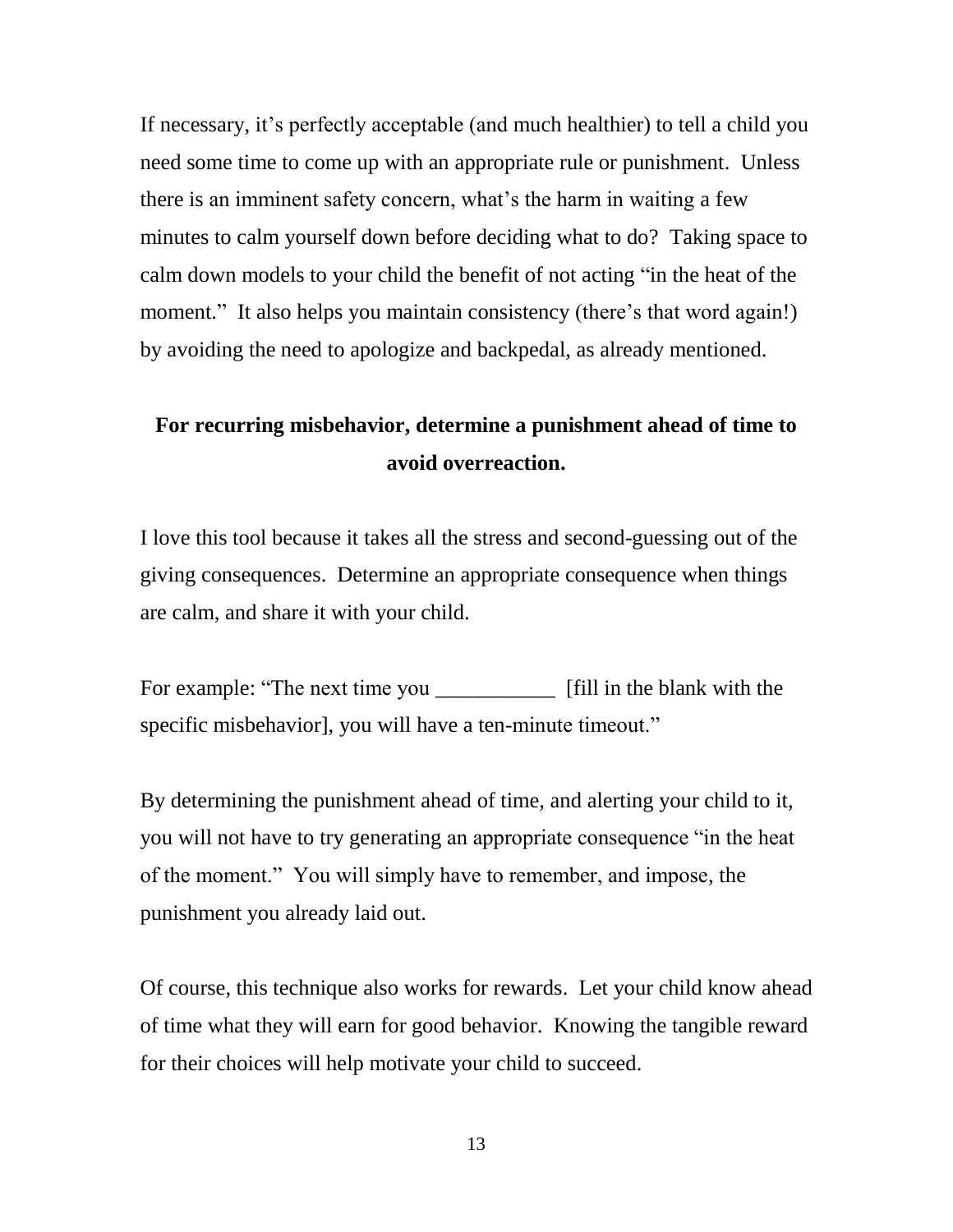If necessary, it's perfectly acceptable (and much healthier) to tell a child you need some time to come up with an appropriate rule or punishment. Unless there is an imminent safety concern, what's the harm in waiting a few minutes to calm yourself down before deciding what to do? Taking space to calm down models to your child the benefit of not acting "in the heat of the moment." It also helps you maintain consistency (there's that word again!) by avoiding the need to apologize and backpedal, as already mentioned.

#### **For recurring misbehavior, determine a punishment ahead of time to avoid overreaction.**

I love this tool because it takes all the stress and second-guessing out of the giving consequences. Determine an appropriate consequence when things are calm, and share it with your child.

For example: "The next time you \_\_\_\_\_\_\_\_\_\_\_\_\_\_\_\_ [fill in the blank with the specific misbehavior], you will have a ten-minute timeout."

By determining the punishment ahead of time, and alerting your child to it, you will not have to try generating an appropriate consequence "in the heat of the moment." You will simply have to remember, and impose, the punishment you already laid out.

Of course, this technique also works for rewards. Let your child know ahead of time what they will earn for good behavior. Knowing the tangible reward for their choices will help motivate your child to succeed.

13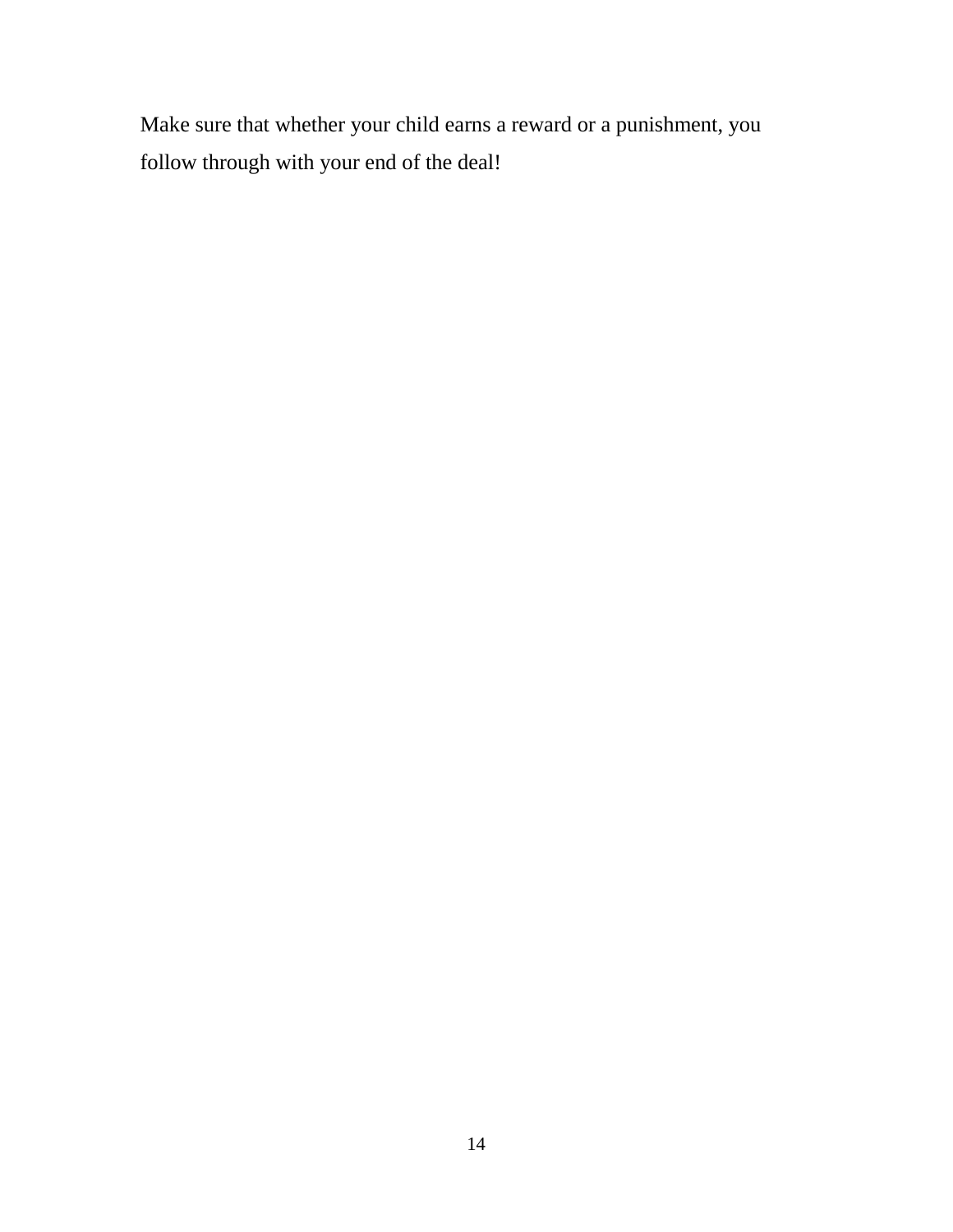Make sure that whether your child earns a reward or a punishment, you follow through with your end of the deal!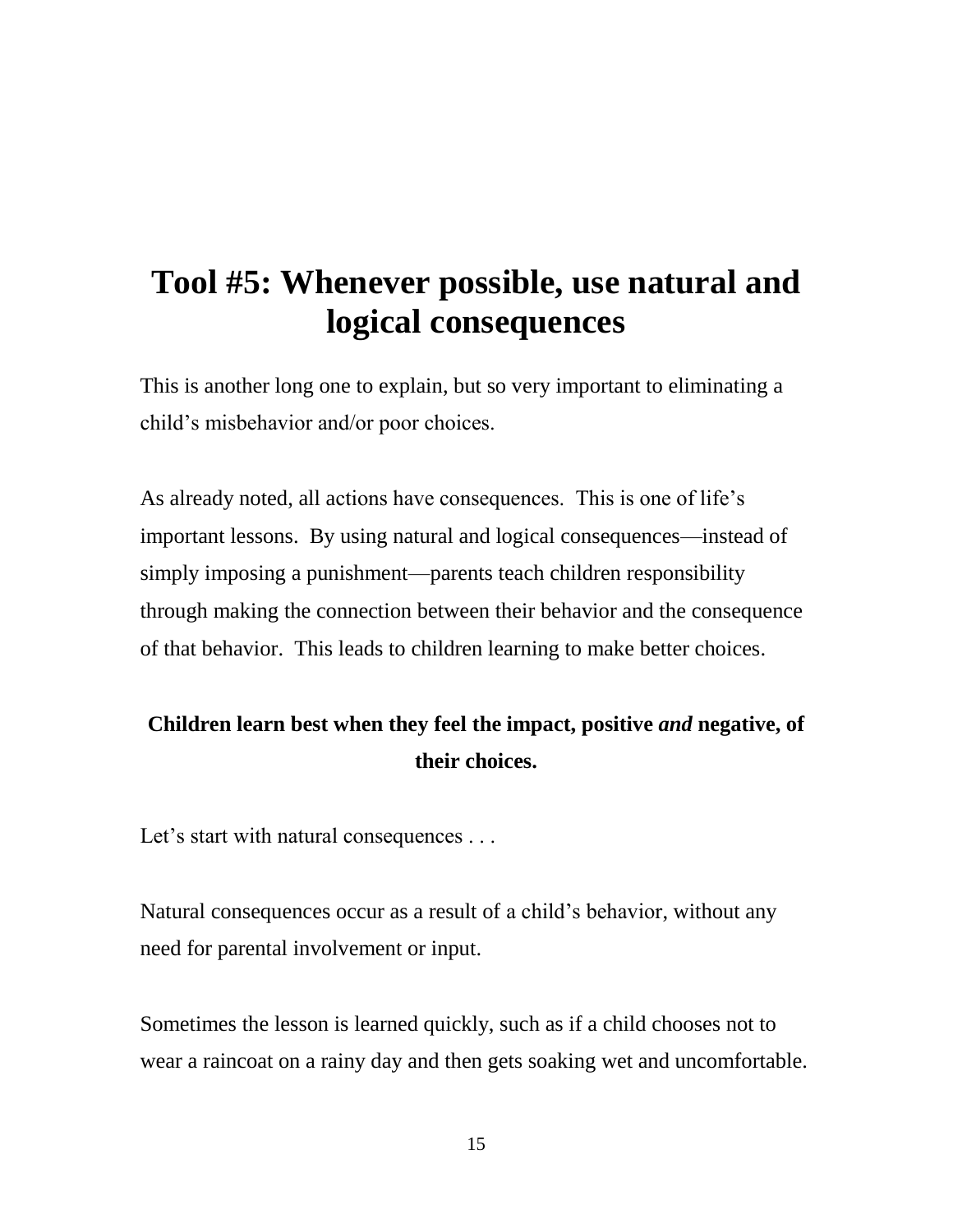# **Tool #5: Whenever possible, use natural and logical consequences**

This is another long one to explain, but so very important to eliminating a child's misbehavior and/or poor choices.

As already noted, all actions have consequences. This is one of life's important lessons. By using natural and logical consequences—instead of simply imposing a punishment—parents teach children responsibility through making the connection between their behavior and the consequence of that behavior. This leads to children learning to make better choices.

#### **Children learn best when they feel the impact, positive** *and* **negative, of their choices.**

Let's start with natural consequences . . .

Natural consequences occur as a result of a child's behavior, without any need for parental involvement or input.

Sometimes the lesson is learned quickly, such as if a child chooses not to wear a raincoat on a rainy day and then gets soaking wet and uncomfortable.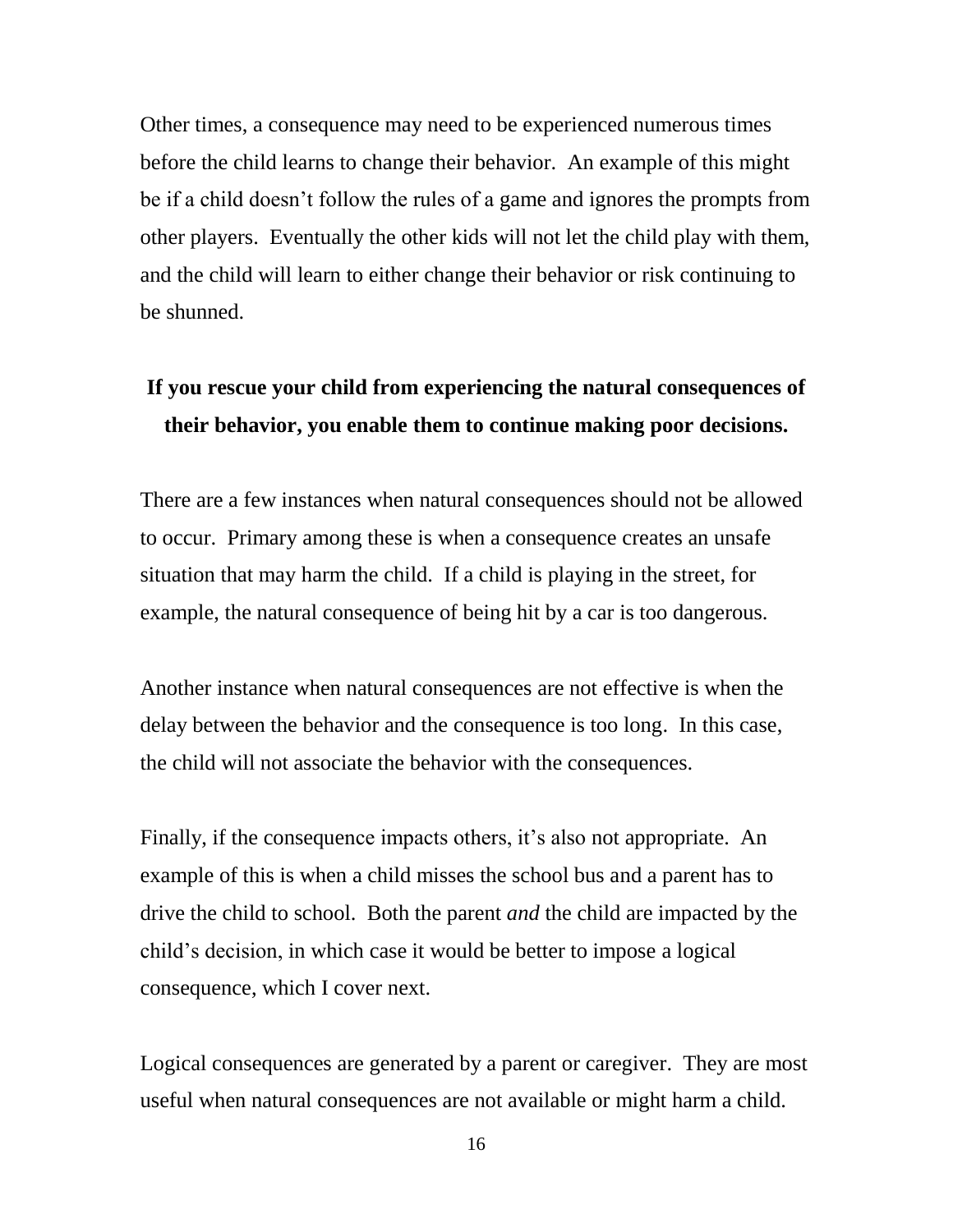Other times, a consequence may need to be experienced numerous times before the child learns to change their behavior. An example of this might be if a child doesn't follow the rules of a game and ignores the prompts from other players. Eventually the other kids will not let the child play with them, and the child will learn to either change their behavior or risk continuing to be shunned.

#### **If you rescue your child from experiencing the natural consequences of their behavior, you enable them to continue making poor decisions.**

There are a few instances when natural consequences should not be allowed to occur. Primary among these is when a consequence creates an unsafe situation that may harm the child. If a child is playing in the street, for example, the natural consequence of being hit by a car is too dangerous.

Another instance when natural consequences are not effective is when the delay between the behavior and the consequence is too long. In this case, the child will not associate the behavior with the consequences.

Finally, if the consequence impacts others, it's also not appropriate. An example of this is when a child misses the school bus and a parent has to drive the child to school. Both the parent *and* the child are impacted by the child's decision, in which case it would be better to impose a logical consequence, which I cover next.

Logical consequences are generated by a parent or caregiver. They are most useful when natural consequences are not available or might harm a child.

16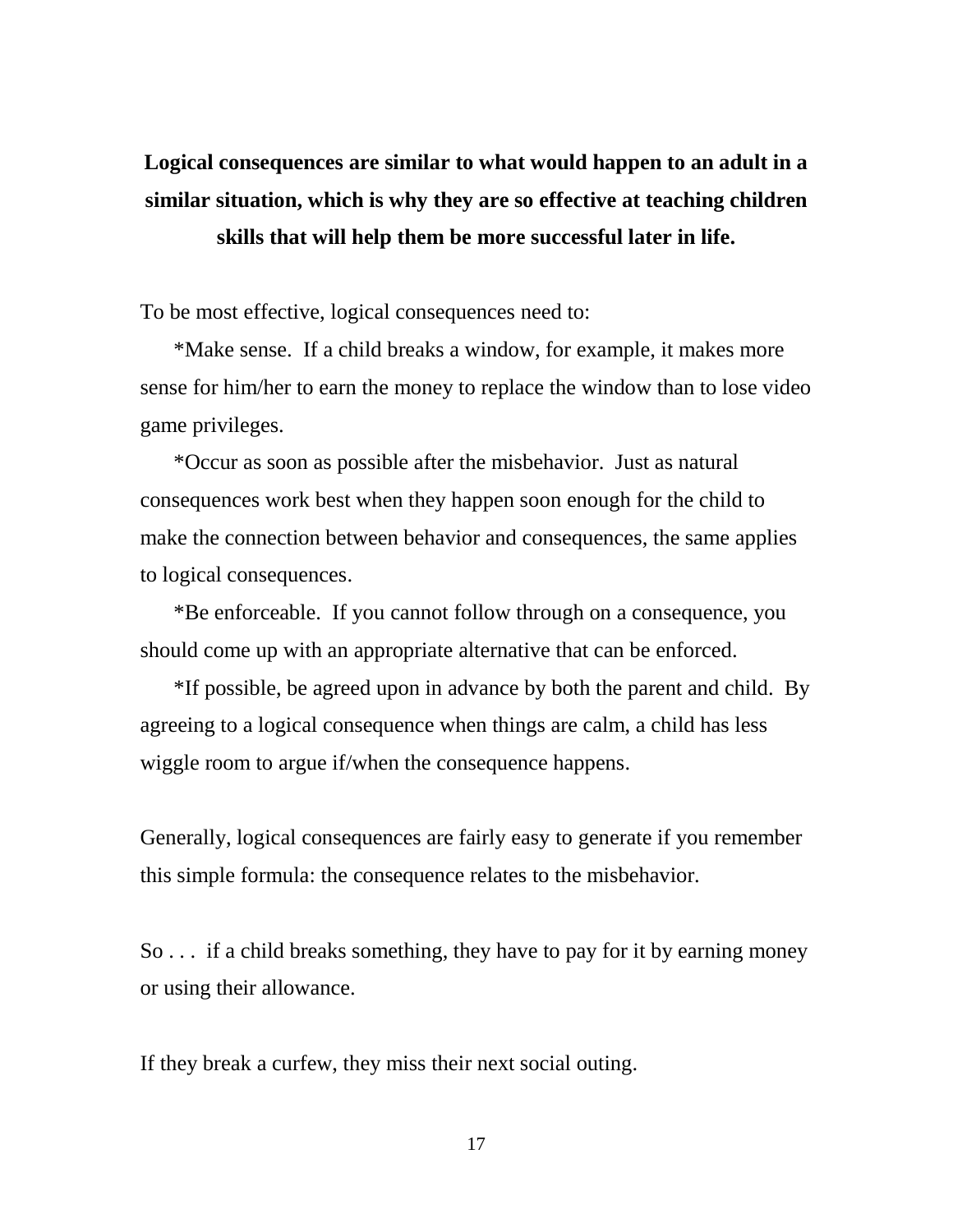### **Logical consequences are similar to what would happen to an adult in a similar situation, which is why they are so effective at teaching children skills that will help them be more successful later in life.**

To be most effective, logical consequences need to:

\*Make sense. If a child breaks a window, for example, it makes more sense for him/her to earn the money to replace the window than to lose video game privileges.

\*Occur as soon as possible after the misbehavior. Just as natural consequences work best when they happen soon enough for the child to make the connection between behavior and consequences, the same applies to logical consequences.

\*Be enforceable. If you cannot follow through on a consequence, you should come up with an appropriate alternative that can be enforced.

\*If possible, be agreed upon in advance by both the parent and child. By agreeing to a logical consequence when things are calm, a child has less wiggle room to argue if/when the consequence happens.

Generally, logical consequences are fairly easy to generate if you remember this simple formula: the consequence relates to the misbehavior.

So . . . if a child breaks something, they have to pay for it by earning money or using their allowance.

If they break a curfew, they miss their next social outing.

17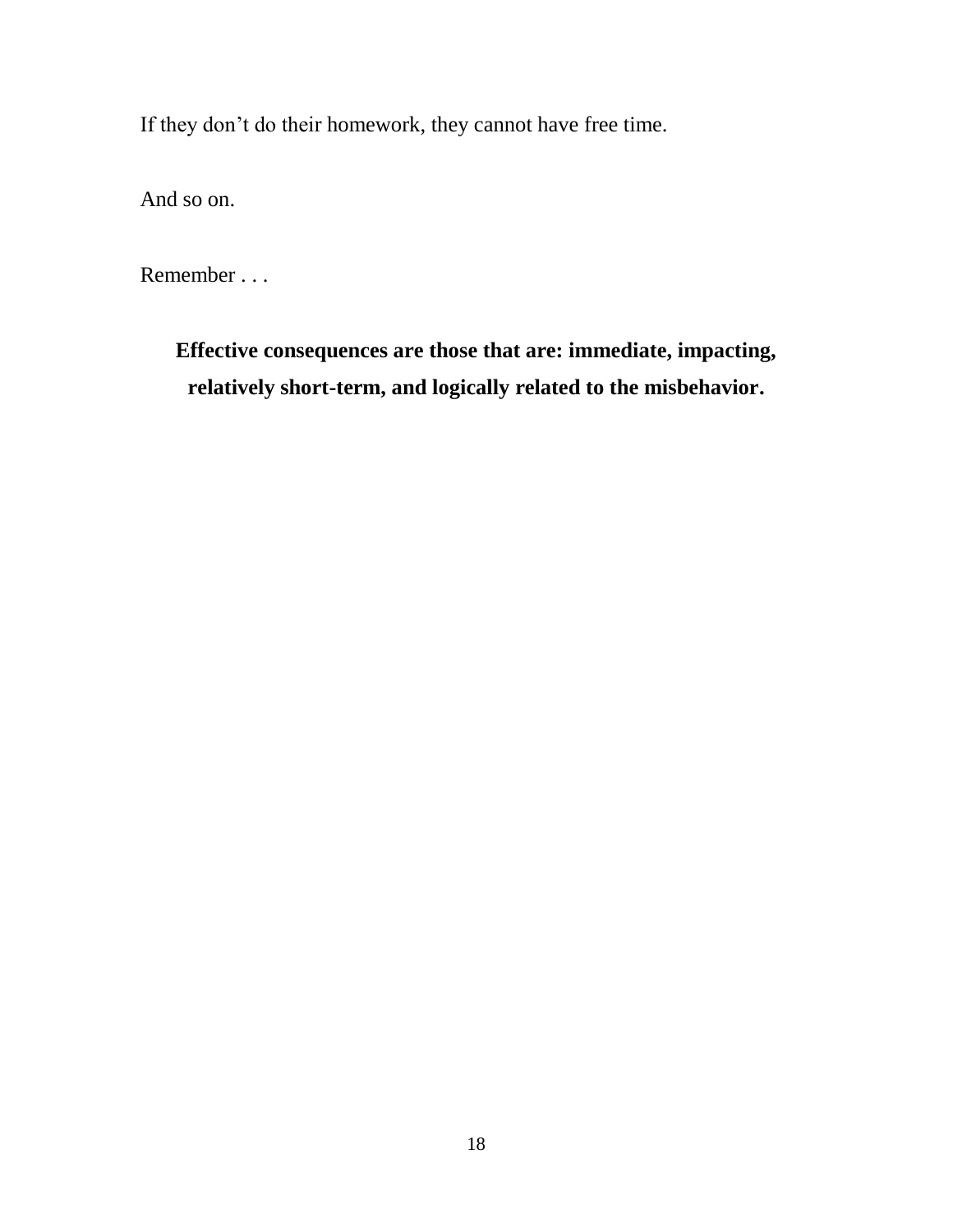If they don't do their homework, they cannot have free time.

And so on.

Remember . . .

**Effective consequences are those that are: immediate, impacting, relatively short-term, and logically related to the misbehavior.**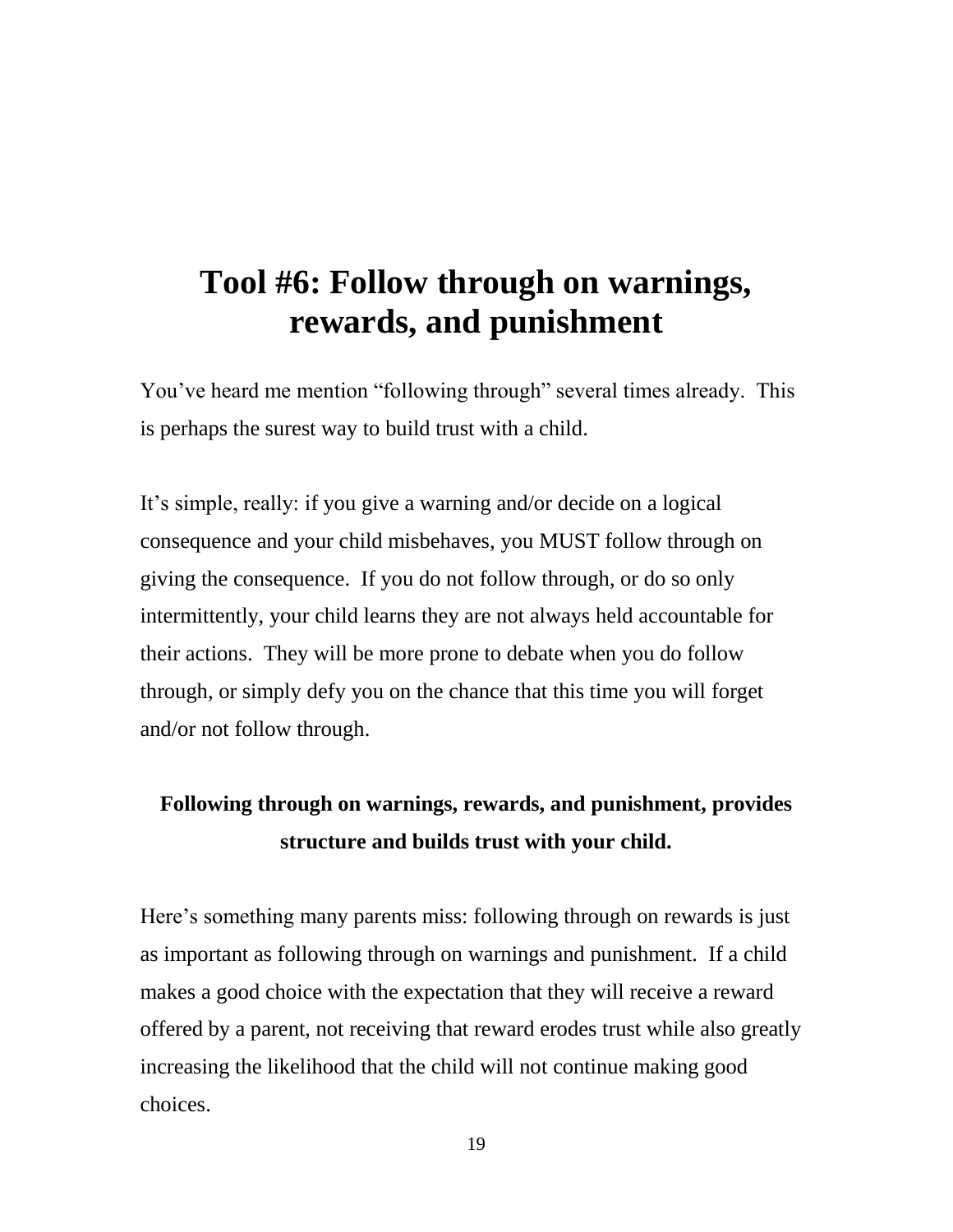### **Tool #6: Follow through on warnings, rewards, and punishment**

You've heard me mention "following through" several times already. This is perhaps the surest way to build trust with a child.

It's simple, really: if you give a warning and/or decide on a logical consequence and your child misbehaves, you MUST follow through on giving the consequence. If you do not follow through, or do so only intermittently, your child learns they are not always held accountable for their actions. They will be more prone to debate when you do follow through, or simply defy you on the chance that this time you will forget and/or not follow through.

#### **Following through on warnings, rewards, and punishment, provides structure and builds trust with your child.**

Here's something many parents miss: following through on rewards is just as important as following through on warnings and punishment. If a child makes a good choice with the expectation that they will receive a reward offered by a parent, not receiving that reward erodes trust while also greatly increasing the likelihood that the child will not continue making good choices.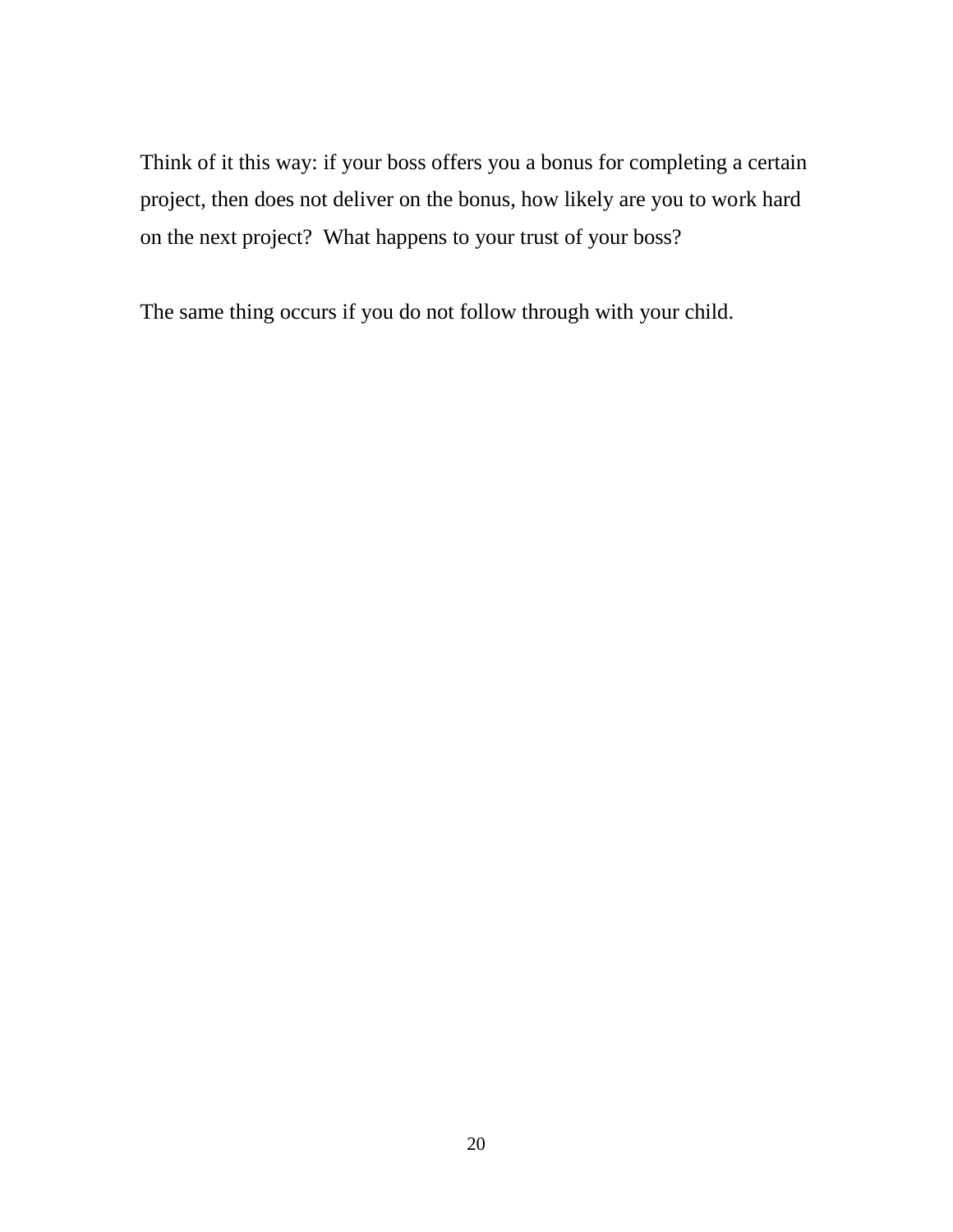Think of it this way: if your boss offers you a bonus for completing a certain project, then does not deliver on the bonus, how likely are you to work hard on the next project? What happens to your trust of your boss?

The same thing occurs if you do not follow through with your child.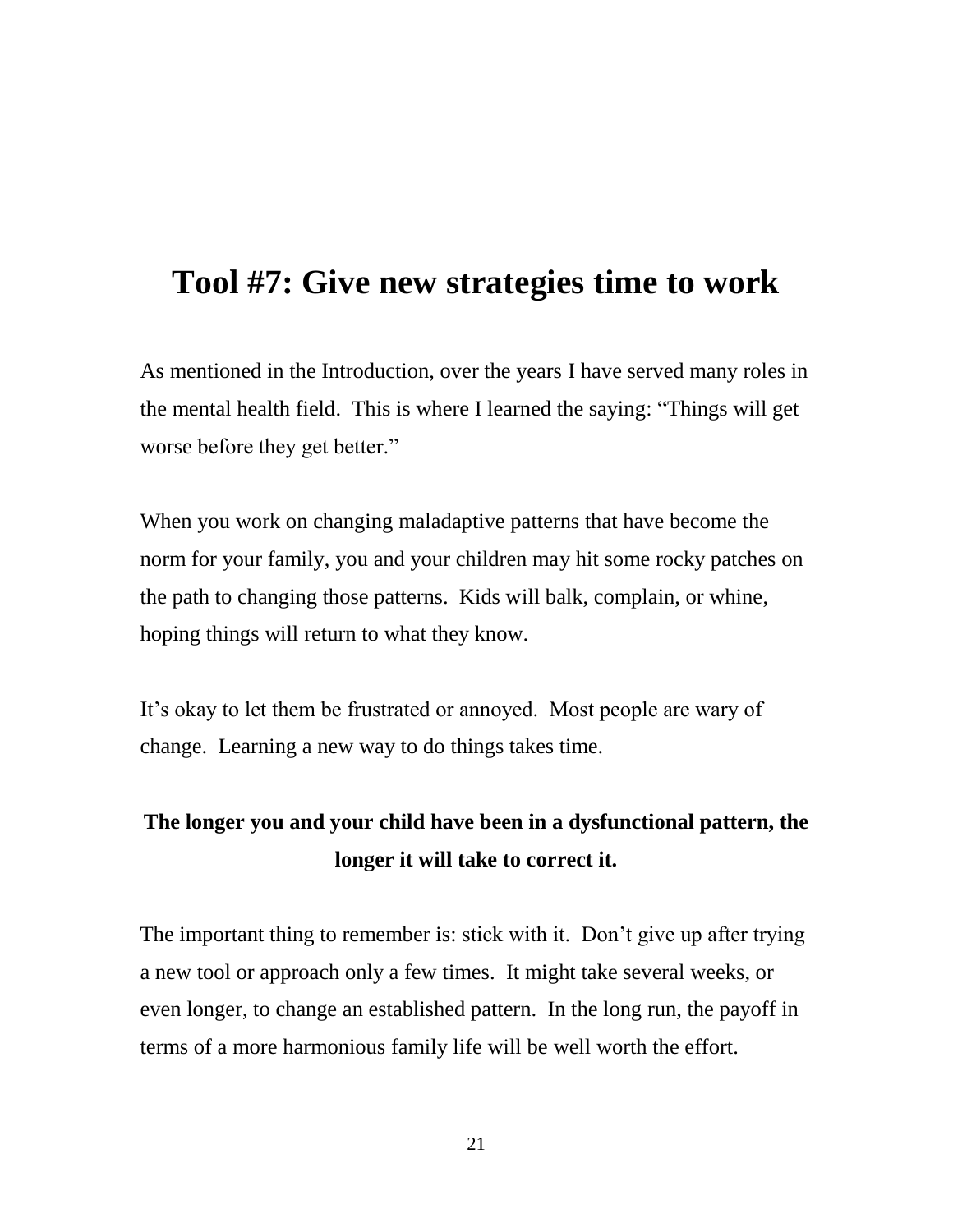### **Tool #7: Give new strategies time to work**

As mentioned in the Introduction, over the years I have served many roles in the mental health field. This is where I learned the saying: "Things will get worse before they get better."

When you work on changing maladaptive patterns that have become the norm for your family, you and your children may hit some rocky patches on the path to changing those patterns. Kids will balk, complain, or whine, hoping things will return to what they know.

It's okay to let them be frustrated or annoyed. Most people are wary of change. Learning a new way to do things takes time.

#### **The longer you and your child have been in a dysfunctional pattern, the longer it will take to correct it.**

The important thing to remember is: stick with it. Don't give up after trying a new tool or approach only a few times. It might take several weeks, or even longer, to change an established pattern. In the long run, the payoff in terms of a more harmonious family life will be well worth the effort.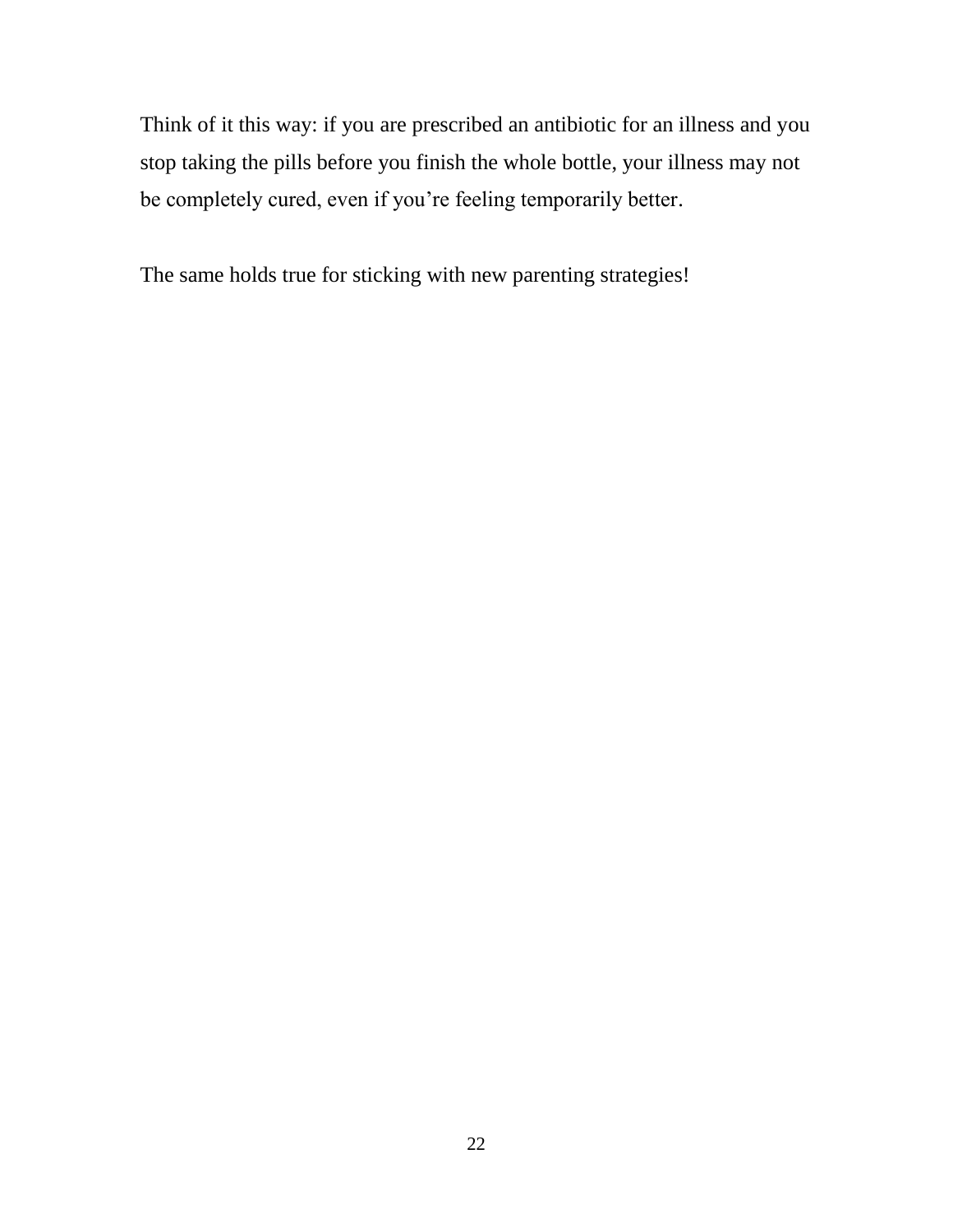Think of it this way: if you are prescribed an antibiotic for an illness and you stop taking the pills before you finish the whole bottle, your illness may not be completely cured, even if you're feeling temporarily better.

The same holds true for sticking with new parenting strategies!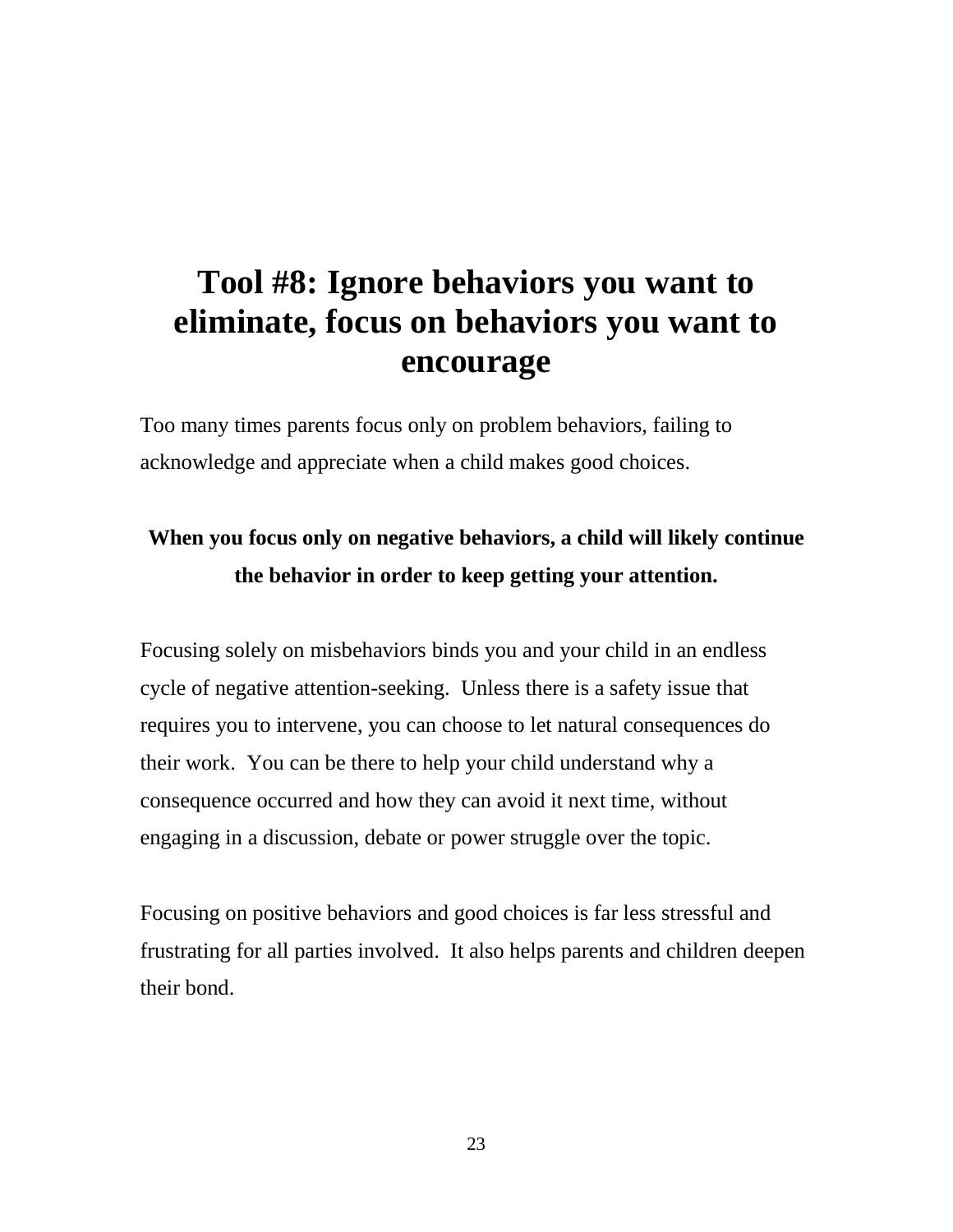## **Tool #8: Ignore behaviors you want to eliminate, focus on behaviors you want to encourage**

Too many times parents focus only on problem behaviors, failing to acknowledge and appreciate when a child makes good choices.

#### **When you focus only on negative behaviors, a child will likely continue the behavior in order to keep getting your attention.**

Focusing solely on misbehaviors binds you and your child in an endless cycle of negative attention-seeking. Unless there is a safety issue that requires you to intervene, you can choose to let natural consequences do their work. You can be there to help your child understand why a consequence occurred and how they can avoid it next time, without engaging in a discussion, debate or power struggle over the topic.

Focusing on positive behaviors and good choices is far less stressful and frustrating for all parties involved. It also helps parents and children deepen their bond.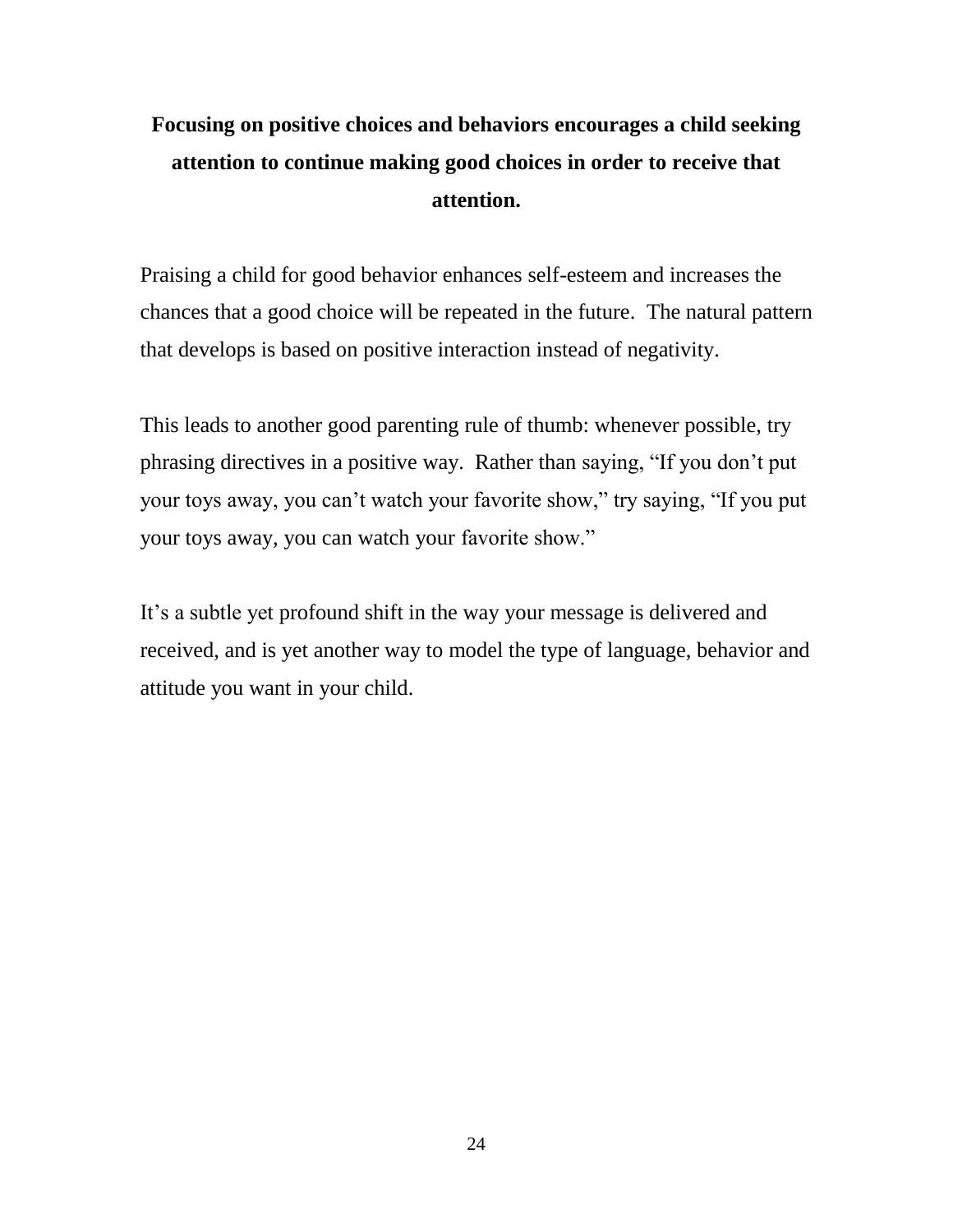### **Focusing on positive choices and behaviors encourages a child seeking attention to continue making good choices in order to receive that attention.**

Praising a child for good behavior enhances self-esteem and increases the chances that a good choice will be repeated in the future. The natural pattern that develops is based on positive interaction instead of negativity.

This leads to another good parenting rule of thumb: whenever possible, try phrasing directives in a positive way. Rather than saying, "If you don't put your toys away, you can't watch your favorite show," try saying, "If you put your toys away, you can watch your favorite show."

It's a subtle yet profound shift in the way your message is delivered and received, and is yet another way to model the type of language, behavior and attitude you want in your child.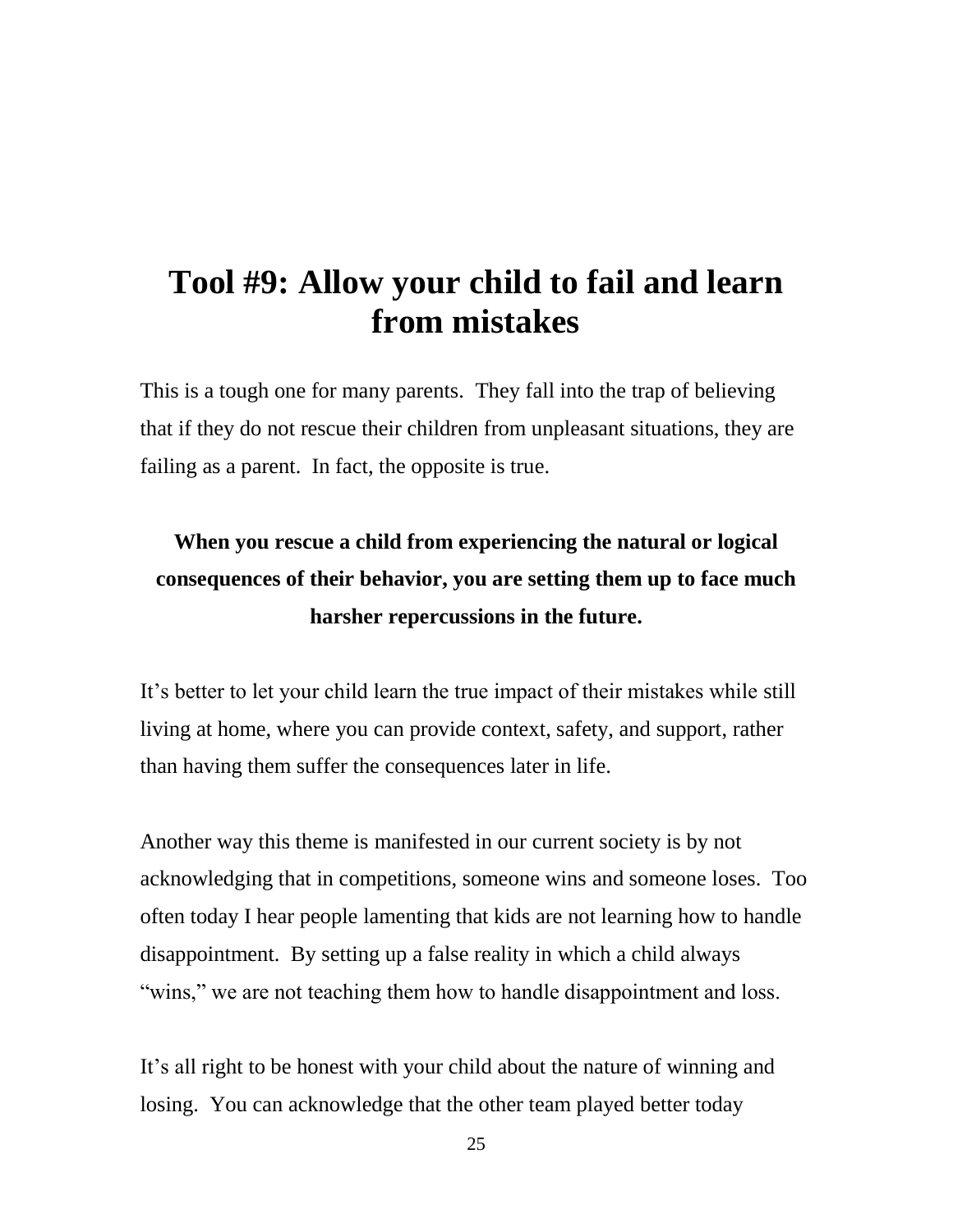### **Tool #9: Allow your child to fail and learn from mistakes**

This is a tough one for many parents. They fall into the trap of believing that if they do not rescue their children from unpleasant situations, they are failing as a parent. In fact, the opposite is true.

### **When you rescue a child from experiencing the natural or logical consequences of their behavior, you are setting them up to face much harsher repercussions in the future.**

It's better to let your child learn the true impact of their mistakes while still living at home, where you can provide context, safety, and support, rather than having them suffer the consequences later in life.

Another way this theme is manifested in our current society is by not acknowledging that in competitions, someone wins and someone loses. Too often today I hear people lamenting that kids are not learning how to handle disappointment. By setting up a false reality in which a child always "wins," we are not teaching them how to handle disappointment and loss.

It's all right to be honest with your child about the nature of winning and losing. You can acknowledge that the other team played better today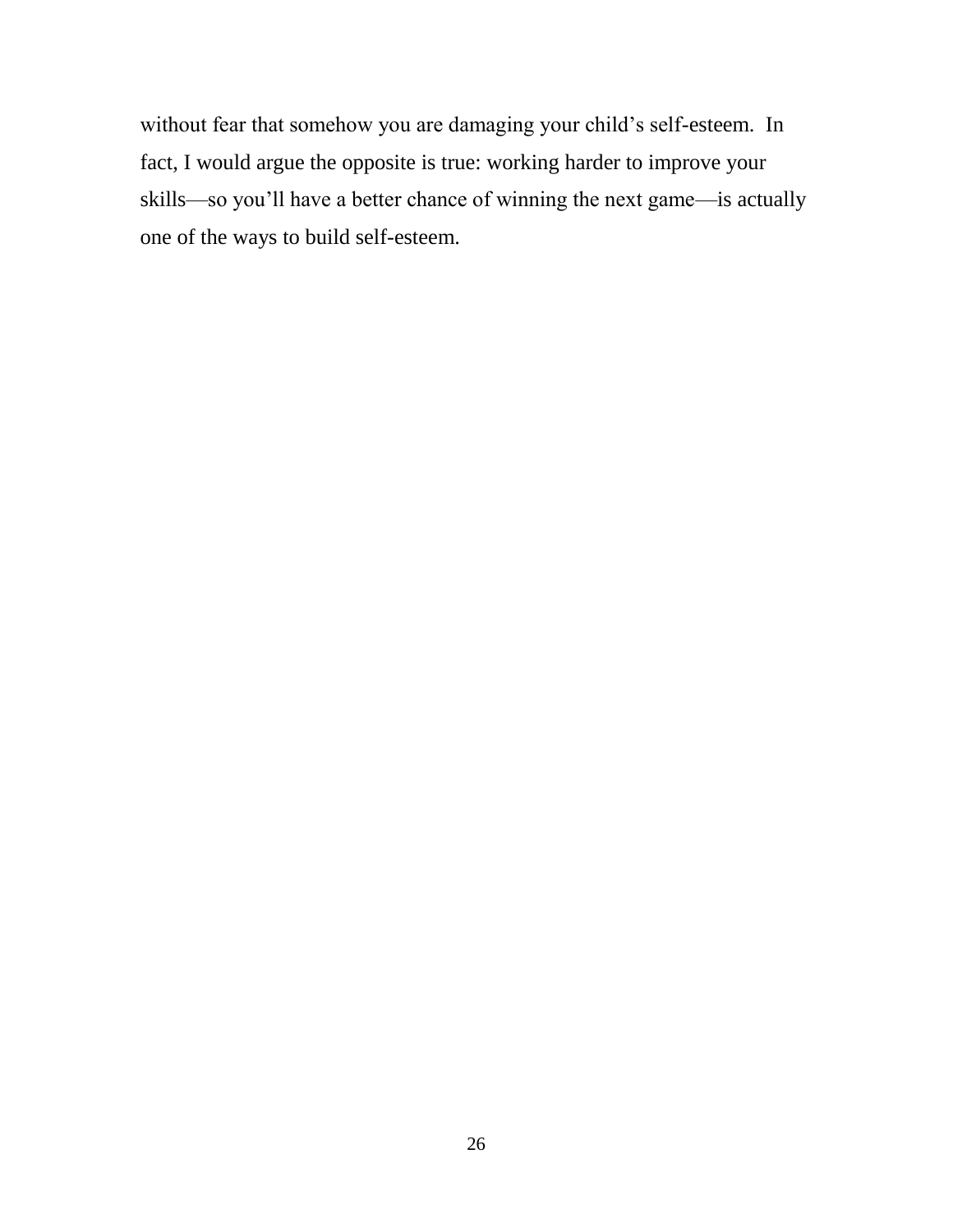without fear that somehow you are damaging your child's self-esteem. In fact, I would argue the opposite is true: working harder to improve your skills—so you'll have a better chance of winning the next game—is actually one of the ways to build self-esteem.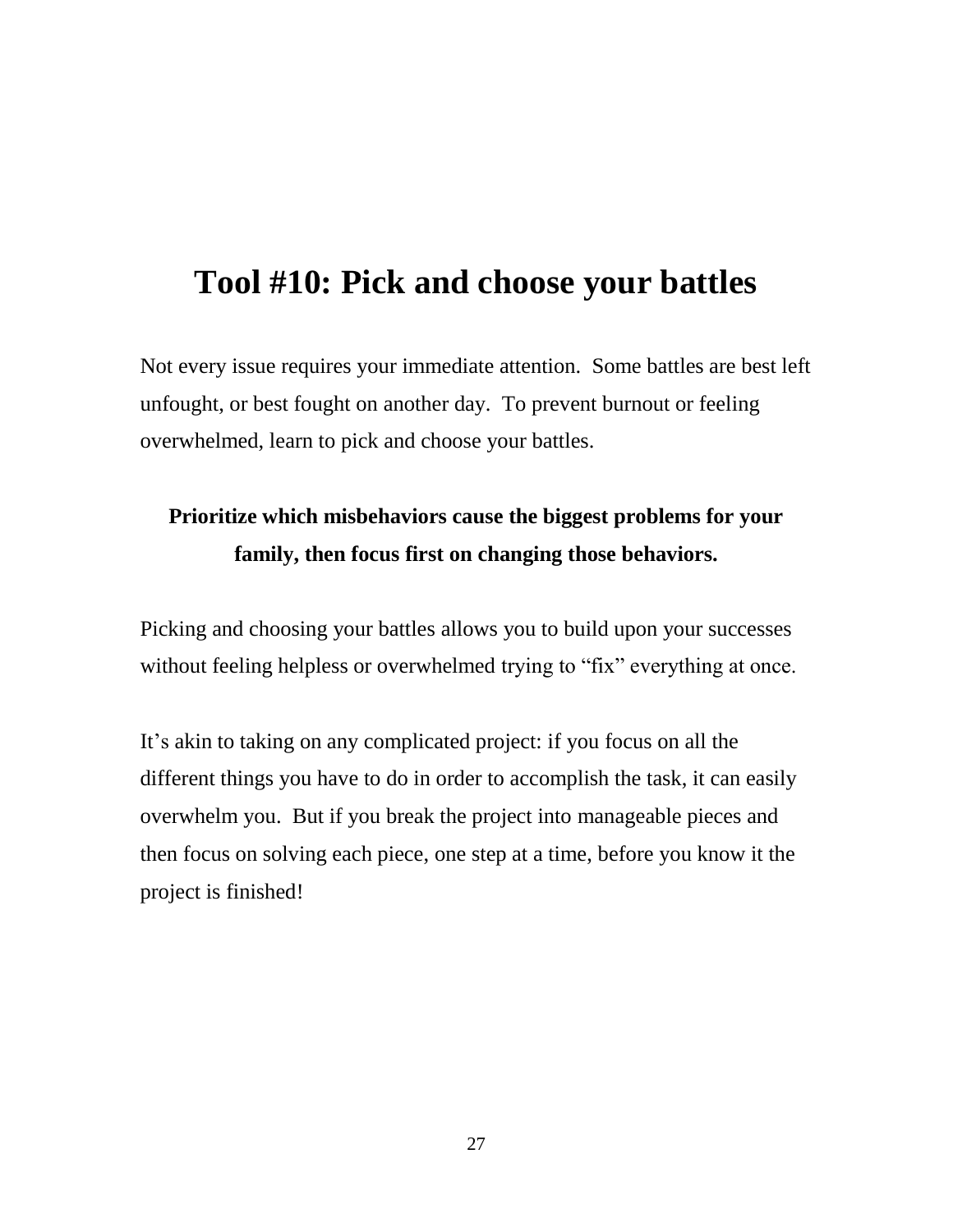### **Tool #10: Pick and choose your battles**

Not every issue requires your immediate attention. Some battles are best left unfought, or best fought on another day. To prevent burnout or feeling overwhelmed, learn to pick and choose your battles.

### **Prioritize which misbehaviors cause the biggest problems for your family, then focus first on changing those behaviors.**

Picking and choosing your battles allows you to build upon your successes without feeling helpless or overwhelmed trying to "fix" everything at once.

It's akin to taking on any complicated project: if you focus on all the different things you have to do in order to accomplish the task, it can easily overwhelm you. But if you break the project into manageable pieces and then focus on solving each piece, one step at a time, before you know it the project is finished!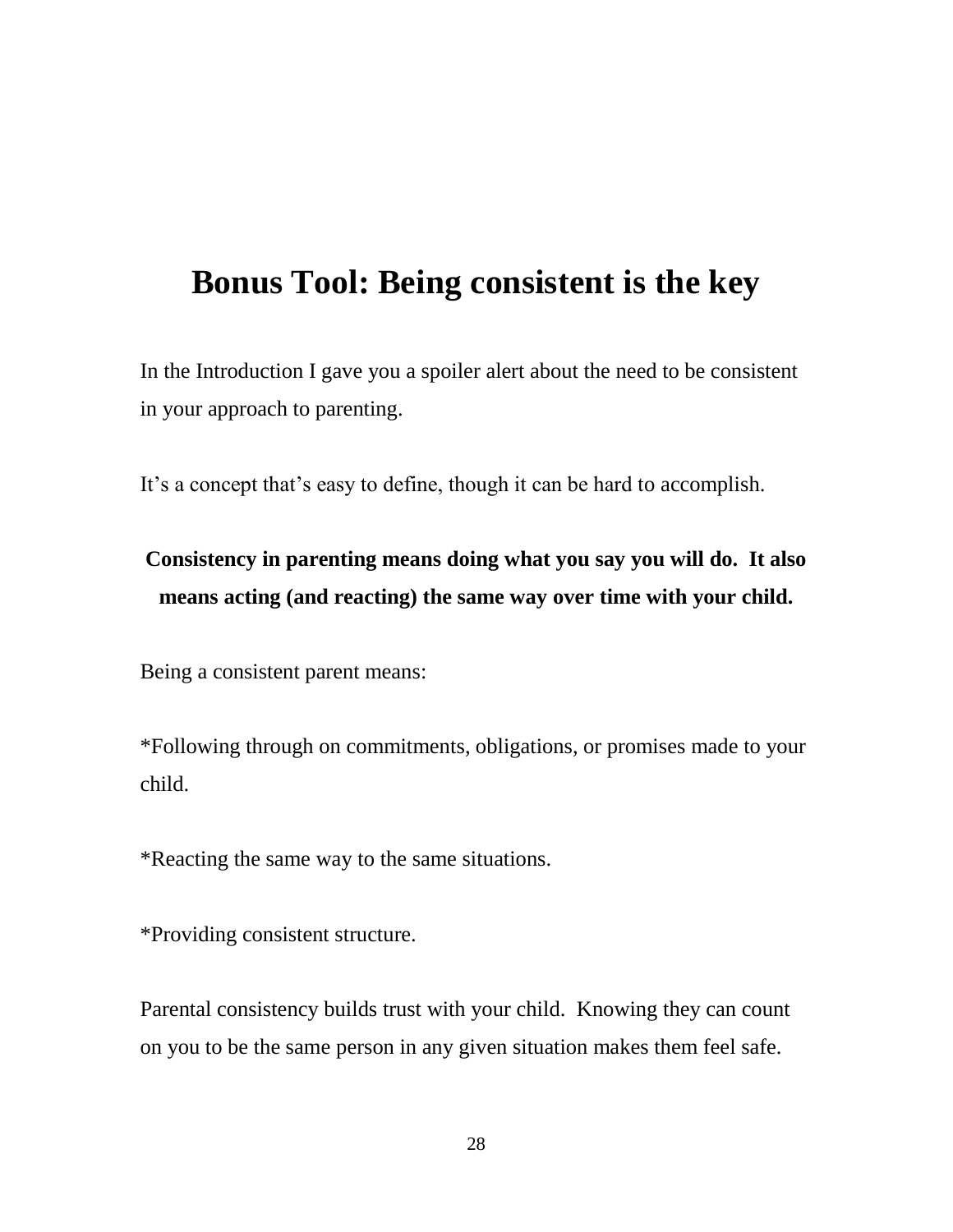### **Bonus Tool: Being consistent is the key**

In the Introduction I gave you a spoiler alert about the need to be consistent in your approach to parenting.

It's a concept that's easy to define, though it can be hard to accomplish.

### **Consistency in parenting means doing what you say you will do. It also means acting (and reacting) the same way over time with your child.**

Being a consistent parent means:

\*Following through on commitments, obligations, or promises made to your child.

\*Reacting the same way to the same situations.

\*Providing consistent structure.

Parental consistency builds trust with your child. Knowing they can count on you to be the same person in any given situation makes them feel safe.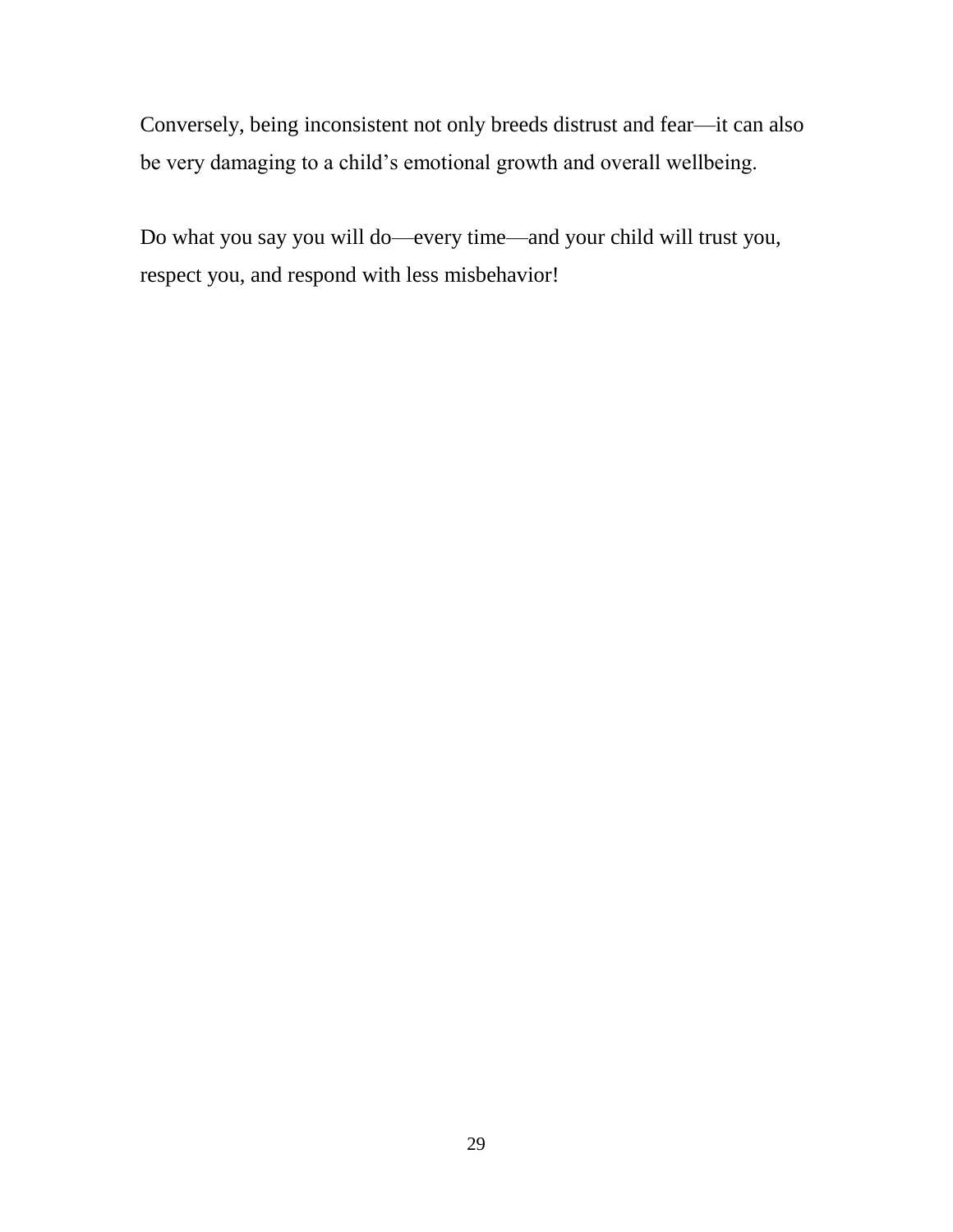Conversely, being inconsistent not only breeds distrust and fear—it can also be very damaging to a child's emotional growth and overall wellbeing.

Do what you say you will do—every time—and your child will trust you, respect you, and respond with less misbehavior!